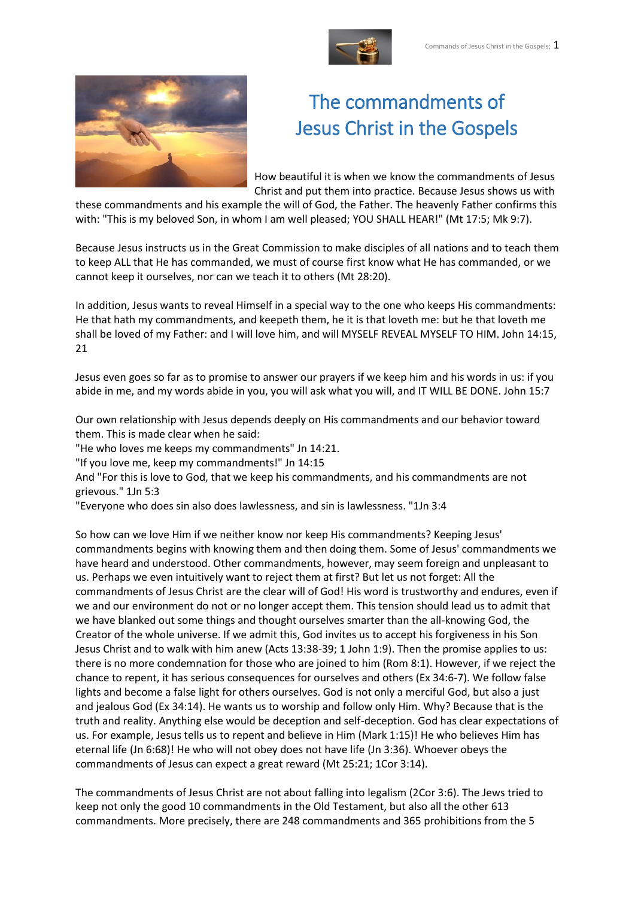



# The commandments of Jesus Christ in the Gospels

How beautiful it is when we know the commandments of Jesus Christ and put them into practice. Because Jesus shows us with

these commandments and his example the will of God, the Father. The heavenly Father confirms this with: "This is my beloved Son, in whom I am well pleased; YOU SHALL HEAR!" (Mt 17:5; Mk 9:7).

Because Jesus instructs us in the Great Commission to make disciples of all nations and to teach them to keep ALL that He has commanded, we must of course first know what He has commanded, or we cannot keep it ourselves, nor can we teach it to others (Mt 28:20).

In addition, Jesus wants to reveal Himself in a special way to the one who keeps His commandments: He that hath my commandments, and keepeth them, he it is that loveth me: but he that loveth me shall be loved of my Father: and I will love him, and will MYSELF REVEAL MYSELF TO HIM. John 14:15, 21

Jesus even goes so far as to promise to answer our prayers if we keep him and his words in us: if you abide in me, and my words abide in you, you will ask what you will, and IT WILL BE DONE. John 15:7

Our own relationship with Jesus depends deeply on His commandments and our behavior toward them. This is made clear when he said:

"He who loves me keeps my commandments" Jn 14:21.

"If you love me, keep my commandments!" Jn 14:15

And "For this is love to God, that we keep his commandments, and his commandments are not grievous." 1Jn 5:3

"Everyone who does sin also does lawlessness, and sin is lawlessness. "1Jn 3:4

So how can we love Him if we neither know nor keep His commandments? Keeping Jesus' commandments begins with knowing them and then doing them. Some of Jesus' commandments we have heard and understood. Other commandments, however, may seem foreign and unpleasant to us. Perhaps we even intuitively want to reject them at first? But let us not forget: All the commandments of Jesus Christ are the clear will of God! His word is trustworthy and endures, even if we and our environment do not or no longer accept them. This tension should lead us to admit that we have blanked out some things and thought ourselves smarter than the all-knowing God, the Creator of the whole universe. If we admit this, God invites us to accept his forgiveness in his Son Jesus Christ and to walk with him anew (Acts 13:38-39; 1 John 1:9). Then the promise applies to us: there is no more condemnation for those who are joined to him (Rom 8:1). However, if we reject the chance to repent, it has serious consequences for ourselves and others (Ex 34:6-7). We follow false lights and become a false light for others ourselves. God is not only a merciful God, but also a just and jealous God (Ex 34:14). He wants us to worship and follow only Him. Why? Because that is the truth and reality. Anything else would be deception and self-deception. God has clear expectations of us. For example, Jesus tells us to repent and believe in Him (Mark 1:15)! He who believes Him has eternal life (Jn 6:68)! He who will not obey does not have life (Jn 3:36). Whoever obeys the commandments of Jesus can expect a great reward (Mt 25:21; 1Cor 3:14).

The commandments of Jesus Christ are not about falling into legalism (2Cor 3:6). The Jews tried to keep not only the good 10 commandments in the Old Testament, but also all the other 613 commandments. More precisely, there are 248 commandments and 365 prohibitions from the 5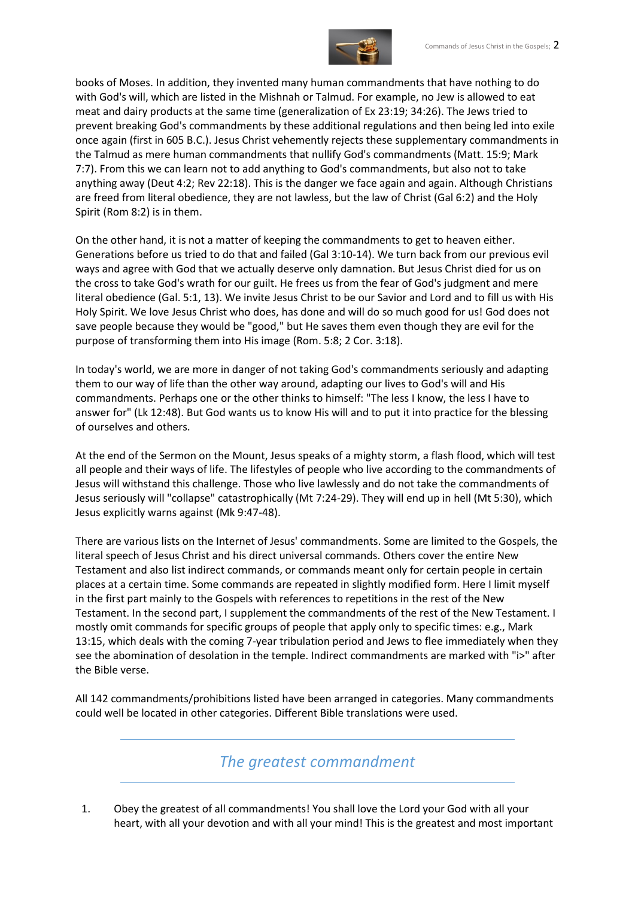

books of Moses. In addition, they invented many human commandments that have nothing to do with God's will, which are listed in the Mishnah or Talmud. For example, no Jew is allowed to eat meat and dairy products at the same time (generalization of Ex 23:19; 34:26). The Jews tried to prevent breaking God's commandments by these additional regulations and then being led into exile once again (first in 605 B.C.). Jesus Christ vehemently rejects these supplementary commandments in the Talmud as mere human commandments that nullify God's commandments (Matt. 15:9; Mark 7:7). From this we can learn not to add anything to God's commandments, but also not to take anything away (Deut 4:2; Rev 22:18). This is the danger we face again and again. Although Christians are freed from literal obedience, they are not lawless, but the law of Christ (Gal 6:2) and the Holy Spirit (Rom 8:2) is in them.

On the other hand, it is not a matter of keeping the commandments to get to heaven either. Generations before us tried to do that and failed (Gal 3:10-14). We turn back from our previous evil ways and agree with God that we actually deserve only damnation. But Jesus Christ died for us on the cross to take God's wrath for our guilt. He frees us from the fear of God's judgment and mere literal obedience (Gal. 5:1, 13). We invite Jesus Christ to be our Savior and Lord and to fill us with His Holy Spirit. We love Jesus Christ who does, has done and will do so much good for us! God does not save people because they would be "good," but He saves them even though they are evil for the purpose of transforming them into His image (Rom. 5:8; 2 Cor. 3:18).

In today's world, we are more in danger of not taking God's commandments seriously and adapting them to our way of life than the other way around, adapting our lives to God's will and His commandments. Perhaps one or the other thinks to himself: "The less I know, the less I have to answer for" (Lk 12:48). But God wants us to know His will and to put it into practice for the blessing of ourselves and others.

At the end of the Sermon on the Mount, Jesus speaks of a mighty storm, a flash flood, which will test all people and their ways of life. The lifestyles of people who live according to the commandments of Jesus will withstand this challenge. Those who live lawlessly and do not take the commandments of Jesus seriously will "collapse" catastrophically (Mt 7:24-29). They will end up in hell (Mt 5:30), which Jesus explicitly warns against (Mk 9:47-48).

There are various lists on the Internet of Jesus' commandments. Some are limited to the Gospels, the literal speech of Jesus Christ and his direct universal commands. Others cover the entire New Testament and also list indirect commands, or commands meant only for certain people in certain places at a certain time. Some commands are repeated in slightly modified form. Here I limit myself in the first part mainly to the Gospels with references to repetitions in the rest of the New Testament. In the second part, I supplement the commandments of the rest of the New Testament. I mostly omit commands for specific groups of people that apply only to specific times: e.g., Mark 13:15, which deals with the coming 7-year tribulation period and Jews to flee immediately when they see the abomination of desolation in the temple. Indirect commandments are marked with "i>" after the Bible verse.

All 142 commandments/prohibitions listed have been arranged in categories. Many commandments could well be located in other categories. Different Bible translations were used.

*The greatest commandment*

1. Obey the greatest of all commandments! You shall love the Lord your God with all your heart, with all your devotion and with all your mind! This is the greatest and most important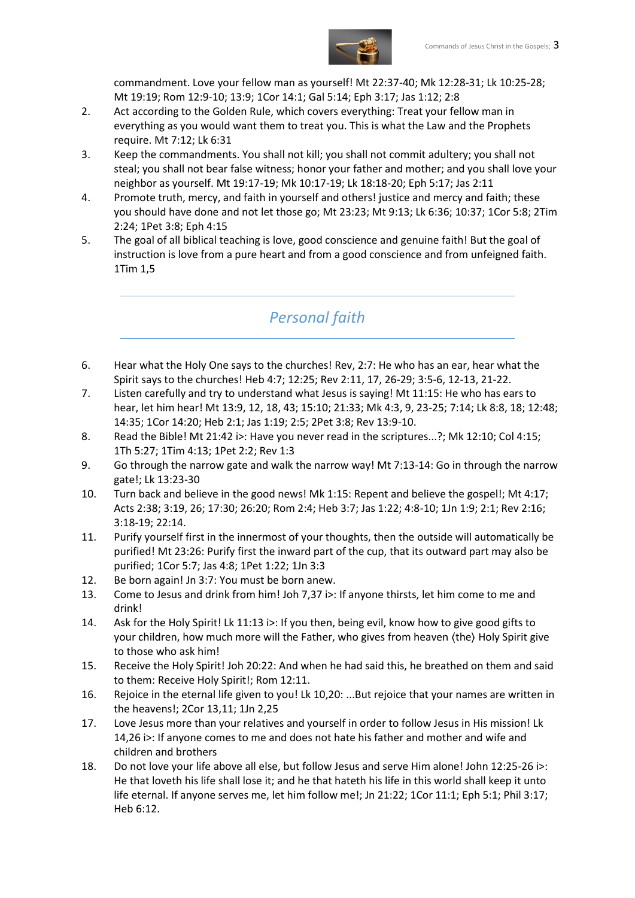

commandment. Love your fellow man as yourself! Mt 22:37-40; Mk 12:28-31; Lk 10:25-28; Mt 19:19; Rom 12:9-10; 13:9; 1Cor 14:1; Gal 5:14; Eph 3:17; Jas 1:12; 2:8

- 2. Act according to the Golden Rule, which covers everything: Treat your fellow man in everything as you would want them to treat you. This is what the Law and the Prophets require. Mt 7:12; Lk 6:31
- 3. Keep the commandments. You shall not kill; you shall not commit adultery; you shall not steal; you shall not bear false witness; honor your father and mother; and you shall love your neighbor as yourself. Mt 19:17-19; Mk 10:17-19; Lk 18:18-20; Eph 5:17; Jas 2:11
- 4. Promote truth, mercy, and faith in yourself and others! justice and mercy and faith; these you should have done and not let those go; Mt 23:23; Mt 9:13; Lk 6:36; 10:37; 1Cor 5:8; 2Tim 2:24; 1Pet 3:8; Eph 4:15
- 5. The goal of all biblical teaching is love, good conscience and genuine faith! But the goal of instruction is love from a pure heart and from a good conscience and from unfeigned faith. 1Tim 1,5

# *Personal faith*

- 6. Hear what the Holy One says to the churches! Rev, 2:7: He who has an ear, hear what the Spirit says to the churches! Heb 4:7; 12:25; Rev 2:11, 17, 26-29; 3:5-6, 12-13, 21-22.
- 7. Listen carefully and try to understand what Jesus is saying! Mt 11:15: He who has ears to hear, let him hear! Mt 13:9, 12, 18, 43; 15:10; 21:33; Mk 4:3, 9, 23-25; 7:14; Lk 8:8, 18; 12:48; 14:35; 1Cor 14:20; Heb 2:1; Jas 1:19; 2:5; 2Pet 3:8; Rev 13:9-10.
- 8. Read the Bible! Mt 21:42 i>: Have you never read in the scriptures...?; Mk 12:10; Col 4:15; 1Th 5:27; 1Tim 4:13; 1Pet 2:2; Rev 1:3
- 9. Go through the narrow gate and walk the narrow way! Mt 7:13-14: Go in through the narrow gate!; Lk 13:23-30
- 10. Turn back and believe in the good news! Mk 1:15: Repent and believe the gospel!; Mt 4:17; Acts 2:38; 3:19, 26; 17:30; 26:20; Rom 2:4; Heb 3:7; Jas 1:22; 4:8-10; 1Jn 1:9; 2:1; Rev 2:16; 3:18-19; 22:14.
- 11. Purify yourself first in the innermost of your thoughts, then the outside will automatically be purified! Mt 23:26: Purify first the inward part of the cup, that its outward part may also be purified; 1Cor 5:7; Jas 4:8; 1Pet 1:22; 1Jn 3:3
- 12. Be born again! Jn 3:7: You must be born anew.
- 13. Come to Jesus and drink from him! Joh 7,37 i>: If anyone thirsts, let him come to me and drink!
- 14. Ask for the Holy Spirit! Lk 11:13 i>: If you then, being evil, know how to give good gifts to your children, how much more will the Father, who gives from heaven ⟨the⟩ Holy Spirit give to those who ask him!
- 15. Receive the Holy Spirit! Joh 20:22: And when he had said this, he breathed on them and said to them: Receive Holy Spirit!; Rom 12:11.
- 16. Rejoice in the eternal life given to you! Lk 10,20: ...But rejoice that your names are written in the heavens!; 2Cor 13,11; 1Jn 2,25
- 17. Love Jesus more than your relatives and yourself in order to follow Jesus in His mission! Lk 14,26 i>: If anyone comes to me and does not hate his father and mother and wife and children and brothers
- 18. Do not love your life above all else, but follow Jesus and serve Him alone! John 12:25-26 i>: He that loveth his life shall lose it; and he that hateth his life in this world shall keep it unto life eternal. If anyone serves me, let him follow me!; Jn 21:22; 1Cor 11:1; Eph 5:1; Phil 3:17; Heb 6:12.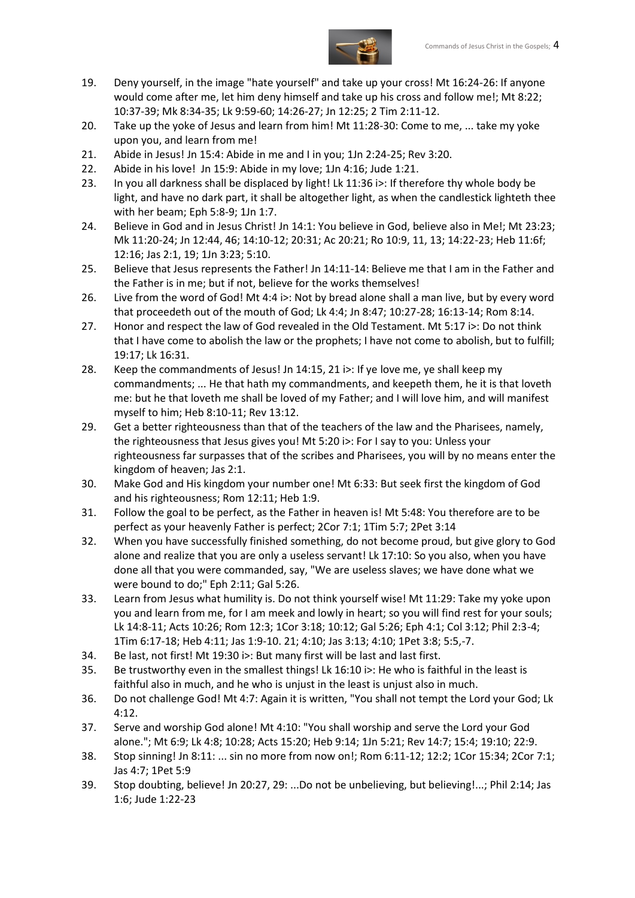

- 19. Deny yourself, in the image "hate yourself" and take up your cross! Mt 16:24-26: If anyone would come after me, let him deny himself and take up his cross and follow me!; Mt 8:22; 10:37-39; Mk 8:34-35; Lk 9:59-60; 14:26-27; Jn 12:25; 2 Tim 2:11-12.
- 20. Take up the yoke of Jesus and learn from him! Mt 11:28-30: Come to me, ... take my yoke upon you, and learn from me!
- 21. Abide in Jesus! Jn 15:4: Abide in me and I in you; 1Jn 2:24-25; Rev 3:20.
- 22. Abide in his love! Jn 15:9: Abide in my love; 1Jn 4:16; Jude 1:21.
- 23. In you all darkness shall be displaced by light! Lk 11:36 i>: If therefore thy whole body be light, and have no dark part, it shall be altogether light, as when the candlestick lighteth thee with her beam; Eph 5:8-9; 1Jn 1:7.
- 24. Believe in God and in Jesus Christ! Jn 14:1: You believe in God, believe also in Me!; Mt 23:23; Mk 11:20-24; Jn 12:44, 46; 14:10-12; 20:31; Ac 20:21; Ro 10:9, 11, 13; 14:22-23; Heb 11:6f; 12:16; Jas 2:1, 19; 1Jn 3:23; 5:10.
- 25. Believe that Jesus represents the Father! Jn 14:11-14: Believe me that I am in the Father and the Father is in me; but if not, believe for the works themselves!
- 26. Live from the word of God! Mt 4:4 i>: Not by bread alone shall a man live, but by every word that proceedeth out of the mouth of God; Lk 4:4; Jn 8:47; 10:27-28; 16:13-14; Rom 8:14.
- 27. Honor and respect the law of God revealed in the Old Testament. Mt 5:17 i>: Do not think that I have come to abolish the law or the prophets; I have not come to abolish, but to fulfill; 19:17; Lk 16:31.
- 28. Keep the commandments of Jesus! Jn 14:15, 21 i>: If ye love me, ye shall keep my commandments; ... He that hath my commandments, and keepeth them, he it is that loveth me: but he that loveth me shall be loved of my Father; and I will love him, and will manifest myself to him; Heb 8:10-11; Rev 13:12.
- 29. Get a better righteousness than that of the teachers of the law and the Pharisees, namely, the righteousness that Jesus gives you! Mt 5:20 i>: For I say to you: Unless your righteousness far surpasses that of the scribes and Pharisees, you will by no means enter the kingdom of heaven; Jas 2:1.
- 30. Make God and His kingdom your number one! Mt 6:33: But seek first the kingdom of God and his righteousness; Rom 12:11; Heb 1:9.
- 31. Follow the goal to be perfect, as the Father in heaven is! Mt 5:48: You therefore are to be perfect as your heavenly Father is perfect; 2Cor 7:1; 1Tim 5:7; 2Pet 3:14
- 32. When you have successfully finished something, do not become proud, but give glory to God alone and realize that you are only a useless servant! Lk 17:10: So you also, when you have done all that you were commanded, say, "We are useless slaves; we have done what we were bound to do;" Eph 2:11; Gal 5:26.
- 33. Learn from Jesus what humility is. Do not think yourself wise! Mt 11:29: Take my yoke upon you and learn from me, for I am meek and lowly in heart; so you will find rest for your souls; Lk 14:8-11; Acts 10:26; Rom 12:3; 1Cor 3:18; 10:12; Gal 5:26; Eph 4:1; Col 3:12; Phil 2:3-4; 1Tim 6:17-18; Heb 4:11; Jas 1:9-10. 21; 4:10; Jas 3:13; 4:10; 1Pet 3:8; 5:5,-7.
- 34. Be last, not first! Mt 19:30 i>: But many first will be last and last first.
- 35. Be trustworthy even in the smallest things! Lk 16:10 i>: He who is faithful in the least is faithful also in much, and he who is unjust in the least is unjust also in much.
- 36. Do not challenge God! Mt 4:7: Again it is written, "You shall not tempt the Lord your God; Lk 4:12.
- 37. Serve and worship God alone! Mt 4:10: "You shall worship and serve the Lord your God alone."; Mt 6:9; Lk 4:8; 10:28; Acts 15:20; Heb 9:14; 1Jn 5:21; Rev 14:7; 15:4; 19:10; 22:9.
- 38. Stop sinning! Jn 8:11: ... sin no more from now on!; Rom 6:11-12; 12:2; 1Cor 15:34; 2Cor 7:1; Jas 4:7; 1Pet 5:9
- 39. Stop doubting, believe! Jn 20:27, 29: ...Do not be unbelieving, but believing!...; Phil 2:14; Jas 1:6; Jude 1:22-23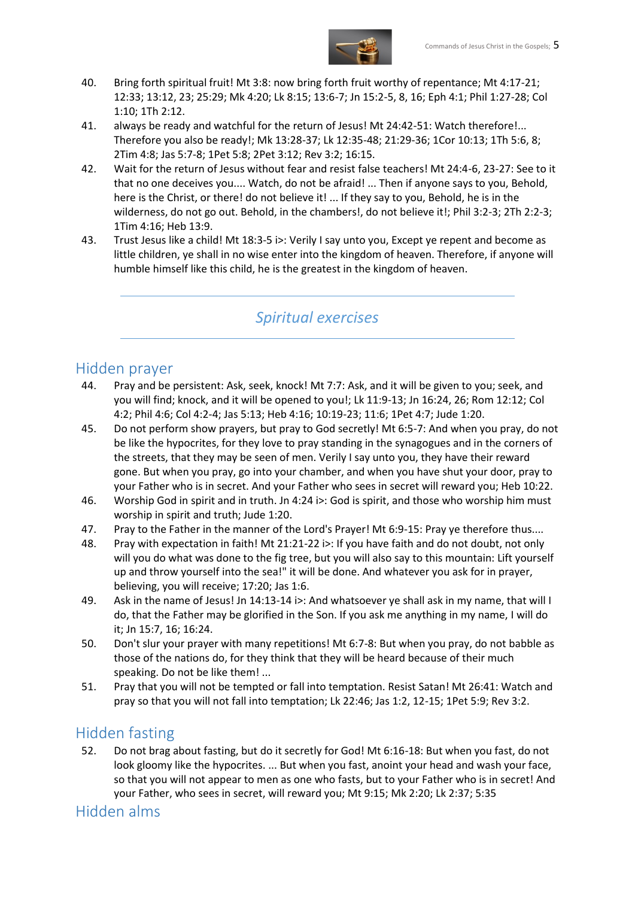

- 40. Bring forth spiritual fruit! Mt 3:8: now bring forth fruit worthy of repentance; Mt 4:17-21; 12:33; 13:12, 23; 25:29; Mk 4:20; Lk 8:15; 13:6-7; Jn 15:2-5, 8, 16; Eph 4:1; Phil 1:27-28; Col 1:10; 1Th 2:12.
- 41. always be ready and watchful for the return of Jesus! Mt 24:42-51: Watch therefore!... Therefore you also be ready!; Mk 13:28-37; Lk 12:35-48; 21:29-36; 1Cor 10:13; 1Th 5:6, 8; 2Tim 4:8; Jas 5:7-8; 1Pet 5:8; 2Pet 3:12; Rev 3:2; 16:15.
- 42. Wait for the return of Jesus without fear and resist false teachers! Mt 24:4-6, 23-27: See to it that no one deceives you.... Watch, do not be afraid! ... Then if anyone says to you, Behold, here is the Christ, or there! do not believe it! ... If they say to you, Behold, he is in the wilderness, do not go out. Behold, in the chambers!, do not believe it!; Phil 3:2-3; 2Th 2:2-3; 1Tim 4:16; Heb 13:9.
- 43. Trust Jesus like a child! Mt 18:3-5 i>: Verily I say unto you, Except ye repent and become as little children, ye shall in no wise enter into the kingdom of heaven. Therefore, if anyone will humble himself like this child, he is the greatest in the kingdom of heaven.

# *Spiritual exercises*

#### Hidden prayer

- 44. Pray and be persistent: Ask, seek, knock! Mt 7:7: Ask, and it will be given to you; seek, and you will find; knock, and it will be opened to you!; Lk 11:9-13; Jn 16:24, 26; Rom 12:12; Col 4:2; Phil 4:6; Col 4:2-4; Jas 5:13; Heb 4:16; 10:19-23; 11:6; 1Pet 4:7; Jude 1:20.
- 45. Do not perform show prayers, but pray to God secretly! Mt 6:5-7: And when you pray, do not be like the hypocrites, for they love to pray standing in the synagogues and in the corners of the streets, that they may be seen of men. Verily I say unto you, they have their reward gone. But when you pray, go into your chamber, and when you have shut your door, pray to your Father who is in secret. And your Father who sees in secret will reward you; Heb 10:22.
- 46. Worship God in spirit and in truth. Jn 4:24 i>: God is spirit, and those who worship him must worship in spirit and truth; Jude 1:20.
- 47. Pray to the Father in the manner of the Lord's Prayer! Mt 6:9-15: Pray ye therefore thus....
- 48. Pray with expectation in faith! Mt 21:21-22 i>: If you have faith and do not doubt, not only will you do what was done to the fig tree, but you will also say to this mountain: Lift yourself up and throw yourself into the sea!" it will be done. And whatever you ask for in prayer, believing, you will receive; 17:20; Jas 1:6.
- 49. Ask in the name of Jesus! Jn 14:13-14 i>: And whatsoever ye shall ask in my name, that will I do, that the Father may be glorified in the Son. If you ask me anything in my name, I will do it; Jn 15:7, 16; 16:24.
- 50. Don't slur your prayer with many repetitions! Mt 6:7-8: But when you pray, do not babble as those of the nations do, for they think that they will be heard because of their much speaking. Do not be like them! ...
- 51. Pray that you will not be tempted or fall into temptation. Resist Satan! Mt 26:41: Watch and pray so that you will not fall into temptation; Lk 22:46; Jas 1:2, 12-15; 1Pet 5:9; Rev 3:2.

# Hidden fasting

52. Do not brag about fasting, but do it secretly for God! Mt 6:16-18: But when you fast, do not look gloomy like the hypocrites. ... But when you fast, anoint your head and wash your face, so that you will not appear to men as one who fasts, but to your Father who is in secret! And your Father, who sees in secret, will reward you; Mt 9:15; Mk 2:20; Lk 2:37; 5:35

# Hidden alms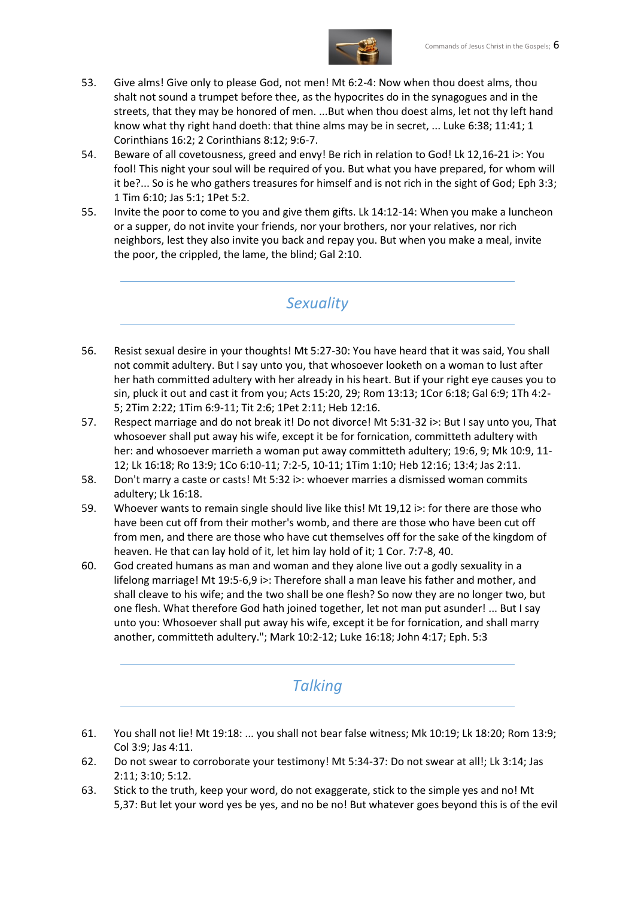

- 53. Give alms! Give only to please God, not men! Mt 6:2-4: Now when thou doest alms, thou shalt not sound a trumpet before thee, as the hypocrites do in the synagogues and in the streets, that they may be honored of men. ...But when thou doest alms, let not thy left hand know what thy right hand doeth: that thine alms may be in secret, ... Luke 6:38; 11:41; 1 Corinthians 16:2; 2 Corinthians 8:12; 9:6-7.
- 54. Beware of all covetousness, greed and envy! Be rich in relation to God! Lk 12,16-21 i>: You fool! This night your soul will be required of you. But what you have prepared, for whom will it be?... So is he who gathers treasures for himself and is not rich in the sight of God; Eph 3:3; 1 Tim 6:10; Jas 5:1; 1Pet 5:2.
- 55. Invite the poor to come to you and give them gifts. Lk 14:12-14: When you make a luncheon or a supper, do not invite your friends, nor your brothers, nor your relatives, nor rich neighbors, lest they also invite you back and repay you. But when you make a meal, invite the poor, the crippled, the lame, the blind; Gal 2:10.

### *Sexuality*

- 56. Resist sexual desire in your thoughts! Mt 5:27-30: You have heard that it was said, You shall not commit adultery. But I say unto you, that whosoever looketh on a woman to lust after her hath committed adultery with her already in his heart. But if your right eye causes you to sin, pluck it out and cast it from you; Acts 15:20, 29; Rom 13:13; 1Cor 6:18; Gal 6:9; 1Th 4:2- 5; 2Tim 2:22; 1Tim 6:9-11; Tit 2:6; 1Pet 2:11; Heb 12:16.
- 57. Respect marriage and do not break it! Do not divorce! Mt 5:31-32 i>: But I say unto you, That whosoever shall put away his wife, except it be for fornication, committeth adultery with her: and whosoever marrieth a woman put away committeth adultery; 19:6, 9; Mk 10:9, 11- 12; Lk 16:18; Ro 13:9; 1Co 6:10-11; 7:2-5, 10-11; 1Tim 1:10; Heb 12:16; 13:4; Jas 2:11.
- 58. Don't marry a caste or casts! Mt 5:32 i>: whoever marries a dismissed woman commits adultery; Lk 16:18.
- 59. Whoever wants to remain single should live like this! Mt 19,12 i>: for there are those who have been cut off from their mother's womb, and there are those who have been cut off from men, and there are those who have cut themselves off for the sake of the kingdom of heaven. He that can lay hold of it, let him lay hold of it; 1 Cor. 7:7-8, 40.
- 60. God created humans as man and woman and they alone live out a godly sexuality in a lifelong marriage! Mt 19:5-6,9 i>: Therefore shall a man leave his father and mother, and shall cleave to his wife; and the two shall be one flesh? So now they are no longer two, but one flesh. What therefore God hath joined together, let not man put asunder! ... But I say unto you: Whosoever shall put away his wife, except it be for fornication, and shall marry another, committeth adultery."; Mark 10:2-12; Luke 16:18; John 4:17; Eph. 5:3

# *Talking*

- 61. You shall not lie! Mt 19:18: ... you shall not bear false witness; Mk 10:19; Lk 18:20; Rom 13:9; Col 3:9; Jas 4:11.
- 62. Do not swear to corroborate your testimony! Mt 5:34-37: Do not swear at all!; Lk 3:14; Jas 2:11; 3:10; 5:12.
- 63. Stick to the truth, keep your word, do not exaggerate, stick to the simple yes and no! Mt 5,37: But let your word yes be yes, and no be no! But whatever goes beyond this is of the evil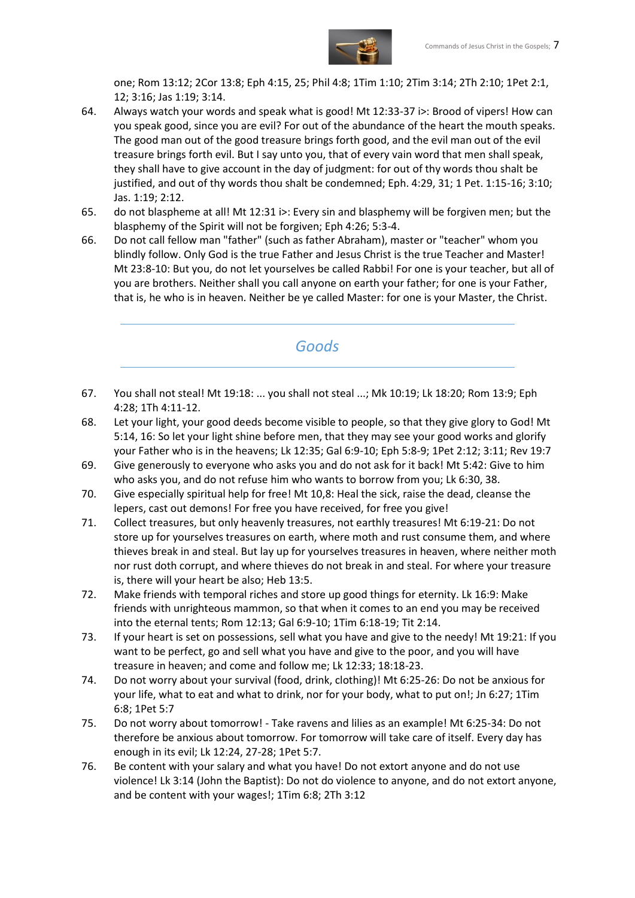

one; Rom 13:12; 2Cor 13:8; Eph 4:15, 25; Phil 4:8; 1Tim 1:10; 2Tim 3:14; 2Th 2:10; 1Pet 2:1, 12; 3:16; Jas 1:19; 3:14.

- 64. Always watch your words and speak what is good! Mt 12:33-37 i>: Brood of vipers! How can you speak good, since you are evil? For out of the abundance of the heart the mouth speaks. The good man out of the good treasure brings forth good, and the evil man out of the evil treasure brings forth evil. But I say unto you, that of every vain word that men shall speak, they shall have to give account in the day of judgment: for out of thy words thou shalt be justified, and out of thy words thou shalt be condemned; Eph. 4:29, 31; 1 Pet. 1:15-16; 3:10; Jas. 1:19; 2:12.
- 65. do not blaspheme at all! Mt 12:31 i>: Every sin and blasphemy will be forgiven men; but the blasphemy of the Spirit will not be forgiven; Eph 4:26; 5:3-4.
- 66. Do not call fellow man "father" (such as father Abraham), master or "teacher" whom you blindly follow. Only God is the true Father and Jesus Christ is the true Teacher and Master! Mt 23:8-10: But you, do not let yourselves be called Rabbi! For one is your teacher, but all of you are brothers. Neither shall you call anyone on earth your father; for one is your Father, that is, he who is in heaven. Neither be ye called Master: for one is your Master, the Christ.

### *Goods*

- 67. You shall not steal! Mt 19:18: ... you shall not steal ...; Mk 10:19; Lk 18:20; Rom 13:9; Eph 4:28; 1Th 4:11-12.
- 68. Let your light, your good deeds become visible to people, so that they give glory to God! Mt 5:14, 16: So let your light shine before men, that they may see your good works and glorify your Father who is in the heavens; Lk 12:35; Gal 6:9-10; Eph 5:8-9; 1Pet 2:12; 3:11; Rev 19:7
- 69. Give generously to everyone who asks you and do not ask for it back! Mt 5:42: Give to him who asks you, and do not refuse him who wants to borrow from you; Lk 6:30, 38.
- 70. Give especially spiritual help for free! Mt 10,8: Heal the sick, raise the dead, cleanse the lepers, cast out demons! For free you have received, for free you give!
- 71. Collect treasures, but only heavenly treasures, not earthly treasures! Mt 6:19-21: Do not store up for yourselves treasures on earth, where moth and rust consume them, and where thieves break in and steal. But lay up for yourselves treasures in heaven, where neither moth nor rust doth corrupt, and where thieves do not break in and steal. For where your treasure is, there will your heart be also; Heb 13:5.
- 72. Make friends with temporal riches and store up good things for eternity. Lk 16:9: Make friends with unrighteous mammon, so that when it comes to an end you may be received into the eternal tents; Rom 12:13; Gal 6:9-10; 1Tim 6:18-19; Tit 2:14.
- 73. If your heart is set on possessions, sell what you have and give to the needy! Mt 19:21: If you want to be perfect, go and sell what you have and give to the poor, and you will have treasure in heaven; and come and follow me; Lk 12:33; 18:18-23.
- 74. Do not worry about your survival (food, drink, clothing)! Mt 6:25-26: Do not be anxious for your life, what to eat and what to drink, nor for your body, what to put on!; Jn 6:27; 1Tim 6:8; 1Pet 5:7
- 75. Do not worry about tomorrow! Take ravens and lilies as an example! Mt 6:25-34: Do not therefore be anxious about tomorrow. For tomorrow will take care of itself. Every day has enough in its evil; Lk 12:24, 27-28; 1Pet 5:7.
- 76. Be content with your salary and what you have! Do not extort anyone and do not use violence! Lk 3:14 (John the Baptist): Do not do violence to anyone, and do not extort anyone, and be content with your wages!; 1Tim 6:8; 2Th 3:12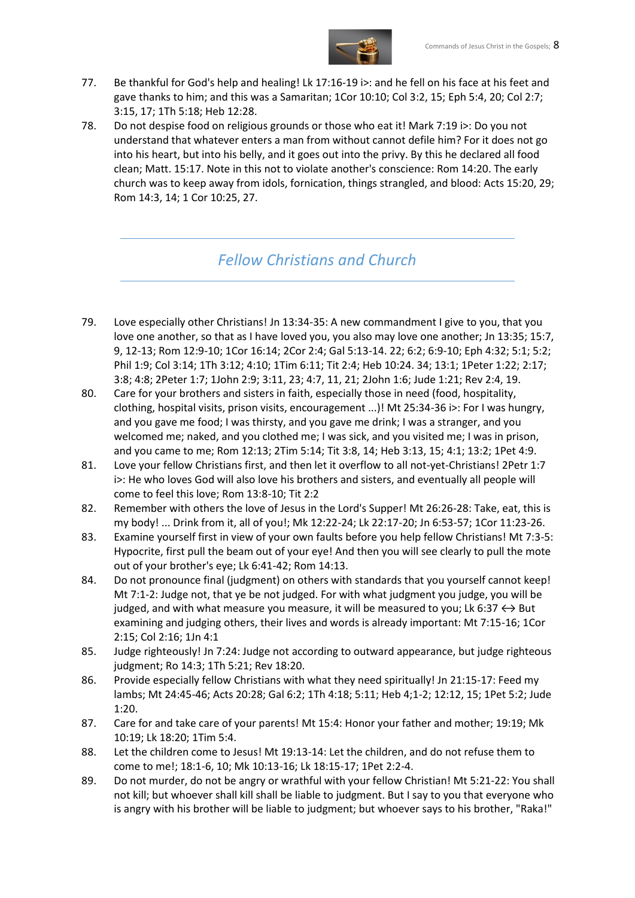

- 77. Be thankful for God's help and healing! Lk 17:16-19 i>: and he fell on his face at his feet and gave thanks to him; and this was a Samaritan; 1Cor 10:10; Col 3:2, 15; Eph 5:4, 20; Col 2:7; 3:15, 17; 1Th 5:18; Heb 12:28.
- 78. Do not despise food on religious grounds or those who eat it! Mark 7:19 i>: Do you not understand that whatever enters a man from without cannot defile him? For it does not go into his heart, but into his belly, and it goes out into the privy. By this he declared all food clean; Matt. 15:17. Note in this not to violate another's conscience: Rom 14:20. The early church was to keep away from idols, fornication, things strangled, and blood: Acts 15:20, 29; Rom 14:3, 14; 1 Cor 10:25, 27.

# *Fellow Christians and Church*

- 79. Love especially other Christians! Jn 13:34-35: A new commandment I give to you, that you love one another, so that as I have loved you, you also may love one another; Jn 13:35; 15:7, 9, 12-13; Rom 12:9-10; 1Cor 16:14; 2Cor 2:4; Gal 5:13-14. 22; 6:2; 6:9-10; Eph 4:32; 5:1; 5:2; Phil 1:9; Col 3:14; 1Th 3:12; 4:10; 1Tim 6:11; Tit 2:4; Heb 10:24. 34; 13:1; 1Peter 1:22; 2:17; 3:8; 4:8; 2Peter 1:7; 1John 2:9; 3:11, 23; 4:7, 11, 21; 2John 1:6; Jude 1:21; Rev 2:4, 19.
- 80. Care for your brothers and sisters in faith, especially those in need (food, hospitality, clothing, hospital visits, prison visits, encouragement ...)! Mt 25:34-36 i>: For I was hungry, and you gave me food; I was thirsty, and you gave me drink; I was a stranger, and you welcomed me; naked, and you clothed me; I was sick, and you visited me; I was in prison, and you came to me; Rom 12:13; 2Tim 5:14; Tit 3:8, 14; Heb 3:13, 15; 4:1; 13:2; 1Pet 4:9.
- 81. Love your fellow Christians first, and then let it overflow to all not-yet-Christians! 2Petr 1:7 i>: He who loves God will also love his brothers and sisters, and eventually all people will come to feel this love; Rom 13:8-10; Tit 2:2
- 82. Remember with others the love of Jesus in the Lord's Supper! Mt 26:26-28: Take, eat, this is my body! ... Drink from it, all of you!; Mk 12:22-24; Lk 22:17-20; Jn 6:53-57; 1Cor 11:23-26.
- 83. Examine yourself first in view of your own faults before you help fellow Christians! Mt 7:3-5: Hypocrite, first pull the beam out of your eye! And then you will see clearly to pull the mote out of your brother's eye; Lk 6:41-42; Rom 14:13.
- 84. Do not pronounce final (judgment) on others with standards that you yourself cannot keep! Mt 7:1-2: Judge not, that ye be not judged. For with what judgment you judge, you will be judged, and with what measure you measure, it will be measured to you; Lk 6:37  $\leftrightarrow$  But examining and judging others, their lives and words is already important: Mt 7:15-16; 1Cor 2:15; Col 2:16; 1Jn 4:1
- 85. Judge righteously! Jn 7:24: Judge not according to outward appearance, but judge righteous judgment; Ro 14:3; 1Th 5:21; Rev 18:20.
- 86. Provide especially fellow Christians with what they need spiritually! Jn 21:15-17: Feed my lambs; Mt 24:45-46; Acts 20:28; Gal 6:2; 1Th 4:18; 5:11; Heb 4;1-2; 12:12, 15; 1Pet 5:2; Jude 1:20.
- 87. Care for and take care of your parents! Mt 15:4: Honor your father and mother; 19:19; Mk 10:19; Lk 18:20; 1Tim 5:4.
- 88. Let the children come to Jesus! Mt 19:13-14: Let the children, and do not refuse them to come to me!; 18:1-6, 10; Mk 10:13-16; Lk 18:15-17; 1Pet 2:2-4.
- 89. Do not murder, do not be angry or wrathful with your fellow Christian! Mt 5:21-22: You shall not kill; but whoever shall kill shall be liable to judgment. But I say to you that everyone who is angry with his brother will be liable to judgment; but whoever says to his brother, "Raka!"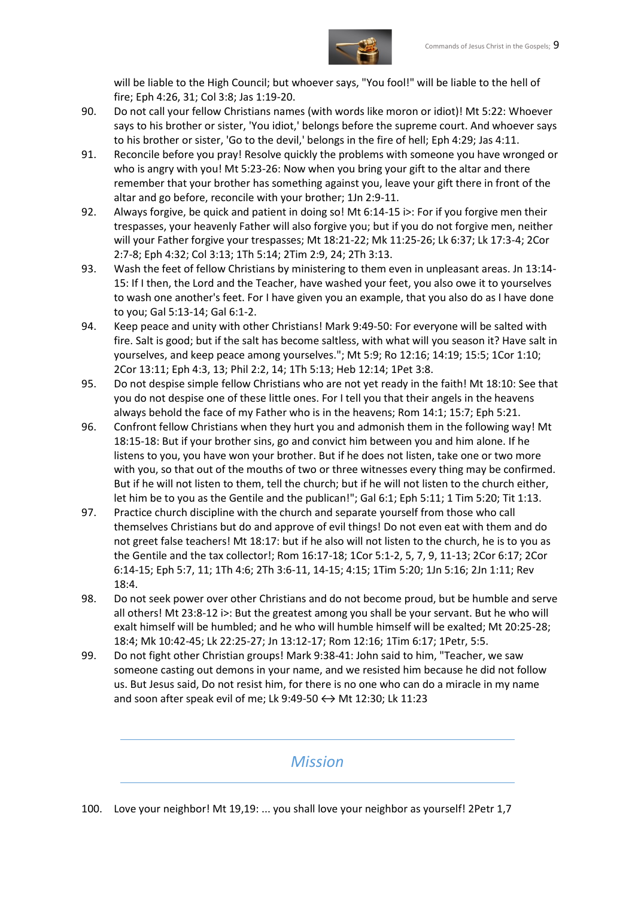

will be liable to the High Council; but whoever says, "You fool!" will be liable to the hell of fire; Eph 4:26, 31; Col 3:8; Jas 1:19-20.

- 90. Do not call your fellow Christians names (with words like moron or idiot)! Mt 5:22: Whoever says to his brother or sister, 'You idiot,' belongs before the supreme court. And whoever says to his brother or sister, 'Go to the devil,' belongs in the fire of hell; Eph 4:29; Jas 4:11.
- 91. Reconcile before you pray! Resolve quickly the problems with someone you have wronged or who is angry with you! Mt 5:23-26: Now when you bring your gift to the altar and there remember that your brother has something against you, leave your gift there in front of the altar and go before, reconcile with your brother; 1Jn 2:9-11.
- 92. Always forgive, be quick and patient in doing so! Mt 6:14-15 i>: For if you forgive men their trespasses, your heavenly Father will also forgive you; but if you do not forgive men, neither will your Father forgive your trespasses; Mt 18:21-22; Mk 11:25-26; Lk 6:37; Lk 17:3-4; 2Cor 2:7-8; Eph 4:32; Col 3:13; 1Th 5:14; 2Tim 2:9, 24; 2Th 3:13.
- 93. Wash the feet of fellow Christians by ministering to them even in unpleasant areas. Jn 13:14- 15: If I then, the Lord and the Teacher, have washed your feet, you also owe it to yourselves to wash one another's feet. For I have given you an example, that you also do as I have done to you; Gal 5:13-14; Gal 6:1-2.
- 94. Keep peace and unity with other Christians! Mark 9:49-50: For everyone will be salted with fire. Salt is good; but if the salt has become saltless, with what will you season it? Have salt in yourselves, and keep peace among yourselves."; Mt 5:9; Ro 12:16; 14:19; 15:5; 1Cor 1:10; 2Cor 13:11; Eph 4:3, 13; Phil 2:2, 14; 1Th 5:13; Heb 12:14; 1Pet 3:8.
- 95. Do not despise simple fellow Christians who are not yet ready in the faith! Mt 18:10: See that you do not despise one of these little ones. For I tell you that their angels in the heavens always behold the face of my Father who is in the heavens; Rom 14:1; 15:7; Eph 5:21.
- 96. Confront fellow Christians when they hurt you and admonish them in the following way! Mt 18:15-18: But if your brother sins, go and convict him between you and him alone. If he listens to you, you have won your brother. But if he does not listen, take one or two more with you, so that out of the mouths of two or three witnesses every thing may be confirmed. But if he will not listen to them, tell the church; but if he will not listen to the church either, let him be to you as the Gentile and the publican!"; Gal 6:1; Eph 5:11; 1 Tim 5:20; Tit 1:13.
- 97. Practice church discipline with the church and separate yourself from those who call themselves Christians but do and approve of evil things! Do not even eat with them and do not greet false teachers! Mt 18:17: but if he also will not listen to the church, he is to you as the Gentile and the tax collector!; Rom 16:17-18; 1Cor 5:1-2, 5, 7, 9, 11-13; 2Cor 6:17; 2Cor 6:14-15; Eph 5:7, 11; 1Th 4:6; 2Th 3:6-11, 14-15; 4:15; 1Tim 5:20; 1Jn 5:16; 2Jn 1:11; Rev 18:4.
- 98. Do not seek power over other Christians and do not become proud, but be humble and serve all others! Mt 23:8-12 i>: But the greatest among you shall be your servant. But he who will exalt himself will be humbled; and he who will humble himself will be exalted; Mt 20:25-28; 18:4; Mk 10:42-45; Lk 22:25-27; Jn 13:12-17; Rom 12:16; 1Tim 6:17; 1Petr, 5:5.
- 99. Do not fight other Christian groups! Mark 9:38-41: John said to him, "Teacher, we saw someone casting out demons in your name, and we resisted him because he did not follow us. But Jesus said, Do not resist him, for there is no one who can do a miracle in my name and soon after speak evil of me; Lk 9:49-50  $\leftrightarrow$  Mt 12:30; Lk 11:23

#### *Mission*

100. Love your neighbor! Mt 19,19: ... you shall love your neighbor as yourself! 2Petr 1,7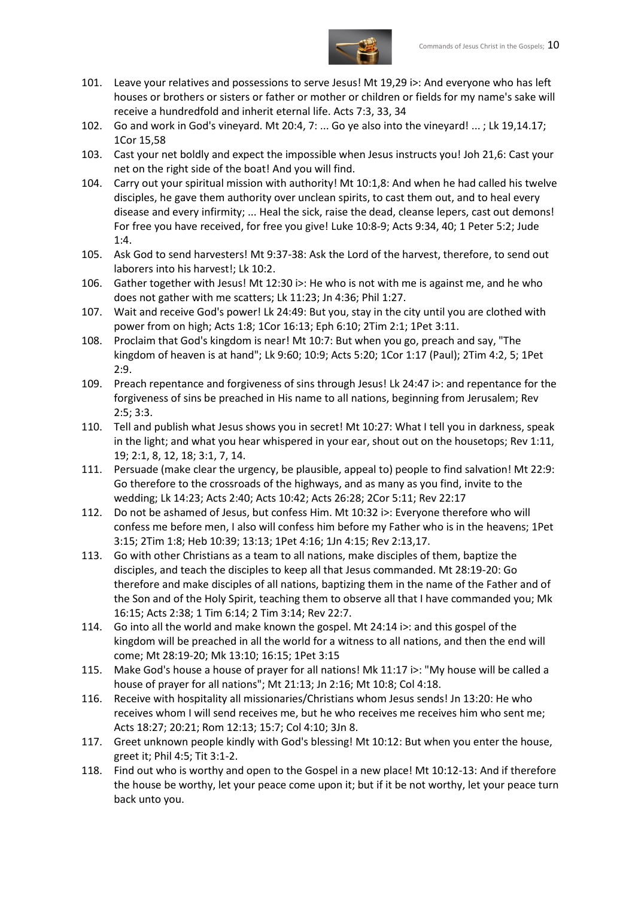

- 101. Leave your relatives and possessions to serve Jesus! Mt 19,29 i>: And everyone who has left houses or brothers or sisters or father or mother or children or fields for my name's sake will receive a hundredfold and inherit eternal life. Acts 7:3, 33, 34
- 102. Go and work in God's vineyard. Mt 20:4, 7: ... Go ye also into the vineyard! ... ; Lk 19,14.17; 1Cor 15,58
- 103. Cast your net boldly and expect the impossible when Jesus instructs you! Joh 21,6: Cast your net on the right side of the boat! And you will find.
- 104. Carry out your spiritual mission with authority! Mt 10:1,8: And when he had called his twelve disciples, he gave them authority over unclean spirits, to cast them out, and to heal every disease and every infirmity; ... Heal the sick, raise the dead, cleanse lepers, cast out demons! For free you have received, for free you give! Luke 10:8-9; Acts 9:34, 40; 1 Peter 5:2; Jude  $1:4$
- 105. Ask God to send harvesters! Mt 9:37-38: Ask the Lord of the harvest, therefore, to send out laborers into his harvest!; Lk 10:2.
- 106. Gather together with Jesus! Mt 12:30 i>: He who is not with me is against me, and he who does not gather with me scatters; Lk 11:23; Jn 4:36; Phil 1:27.
- 107. Wait and receive God's power! Lk 24:49: But you, stay in the city until you are clothed with power from on high; Acts 1:8; 1Cor 16:13; Eph 6:10; 2Tim 2:1; 1Pet 3:11.
- 108. Proclaim that God's kingdom is near! Mt 10:7: But when you go, preach and say, "The kingdom of heaven is at hand"; Lk 9:60; 10:9; Acts 5:20; 1Cor 1:17 (Paul); 2Tim 4:2, 5; 1Pet 2:9.
- 109. Preach repentance and forgiveness of sins through Jesus! Lk 24:47 i>: and repentance for the forgiveness of sins be preached in His name to all nations, beginning from Jerusalem; Rev 2:5; 3:3.
- 110. Tell and publish what Jesus shows you in secret! Mt 10:27: What I tell you in darkness, speak in the light; and what you hear whispered in your ear, shout out on the housetops; Rev 1:11, 19; 2:1, 8, 12, 18; 3:1, 7, 14.
- 111. Persuade (make clear the urgency, be plausible, appeal to) people to find salvation! Mt 22:9: Go therefore to the crossroads of the highways, and as many as you find, invite to the wedding; Lk 14:23; Acts 2:40; Acts 10:42; Acts 26:28; 2Cor 5:11; Rev 22:17
- 112. Do not be ashamed of Jesus, but confess Him. Mt 10:32 i>: Everyone therefore who will confess me before men, I also will confess him before my Father who is in the heavens; 1Pet 3:15; 2Tim 1:8; Heb 10:39; 13:13; 1Pet 4:16; 1Jn 4:15; Rev 2:13,17.
- 113. Go with other Christians as a team to all nations, make disciples of them, baptize the disciples, and teach the disciples to keep all that Jesus commanded. Mt 28:19-20: Go therefore and make disciples of all nations, baptizing them in the name of the Father and of the Son and of the Holy Spirit, teaching them to observe all that I have commanded you; Mk 16:15; Acts 2:38; 1 Tim 6:14; 2 Tim 3:14; Rev 22:7.
- 114. Go into all the world and make known the gospel. Mt 24:14 i>: and this gospel of the kingdom will be preached in all the world for a witness to all nations, and then the end will come; Mt 28:19-20; Mk 13:10; 16:15; 1Pet 3:15
- 115. Make God's house a house of prayer for all nations! Mk 11:17 i>: "My house will be called a house of prayer for all nations"; Mt 21:13; Jn 2:16; Mt 10:8; Col 4:18.
- 116. Receive with hospitality all missionaries/Christians whom Jesus sends! Jn 13:20: He who receives whom I will send receives me, but he who receives me receives him who sent me; Acts 18:27; 20:21; Rom 12:13; 15:7; Col 4:10; 3Jn 8.
- 117. Greet unknown people kindly with God's blessing! Mt 10:12: But when you enter the house, greet it; Phil 4:5; Tit 3:1-2.
- 118. Find out who is worthy and open to the Gospel in a new place! Mt 10:12-13: And if therefore the house be worthy, let your peace come upon it; but if it be not worthy, let your peace turn back unto you.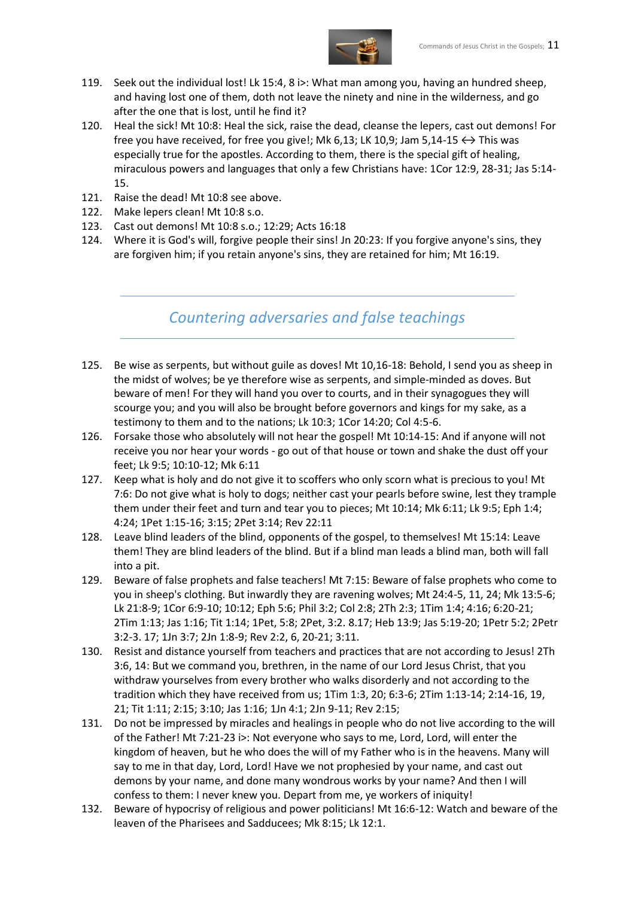

- 119. Seek out the individual lost! Lk 15:4, 8 i>: What man among you, having an hundred sheep, and having lost one of them, doth not leave the ninety and nine in the wilderness, and go after the one that is lost, until he find it?
- 120. Heal the sick! Mt 10:8: Heal the sick, raise the dead, cleanse the lepers, cast out demons! For free you have received, for free you give!; Mk 6,13; LK 10,9; Jam 5,14-15  $\leftrightarrow$  This was especially true for the apostles. According to them, there is the special gift of healing, miraculous powers and languages that only a few Christians have: 1Cor 12:9, 28-31; Jas 5:14- 15.
- 121. Raise the dead! Mt 10:8 see above.
- 122. Make lepers clean! Mt 10:8 s.o.
- 123. Cast out demons! Mt 10:8 s.o.; 12:29; Acts 16:18
- 124. Where it is God's will, forgive people their sins! Jn 20:23: If you forgive anyone's sins, they are forgiven him; if you retain anyone's sins, they are retained for him; Mt 16:19.

### *Countering adversaries and false teachings*

- 125. Be wise as serpents, but without guile as doves! Mt 10,16-18: Behold, I send you as sheep in the midst of wolves; be ye therefore wise as serpents, and simple-minded as doves. But beware of men! For they will hand you over to courts, and in their synagogues they will scourge you; and you will also be brought before governors and kings for my sake, as a testimony to them and to the nations; Lk 10:3; 1Cor 14:20; Col 4:5-6.
- 126. Forsake those who absolutely will not hear the gospel! Mt 10:14-15: And if anyone will not receive you nor hear your words - go out of that house or town and shake the dust off your feet; Lk 9:5; 10:10-12; Mk 6:11
- 127. Keep what is holy and do not give it to scoffers who only scorn what is precious to you! Mt 7:6: Do not give what is holy to dogs; neither cast your pearls before swine, lest they trample them under their feet and turn and tear you to pieces; Mt 10:14; Mk 6:11; Lk 9:5; Eph 1:4; 4:24; 1Pet 1:15-16; 3:15; 2Pet 3:14; Rev 22:11
- 128. Leave blind leaders of the blind, opponents of the gospel, to themselves! Mt 15:14: Leave them! They are blind leaders of the blind. But if a blind man leads a blind man, both will fall into a pit.
- 129. Beware of false prophets and false teachers! Mt 7:15: Beware of false prophets who come to you in sheep's clothing. But inwardly they are ravening wolves; Mt 24:4-5, 11, 24; Mk 13:5-6; Lk 21:8-9; 1Cor 6:9-10; 10:12; Eph 5:6; Phil 3:2; Col 2:8; 2Th 2:3; 1Tim 1:4; 4:16; 6:20-21; 2Tim 1:13; Jas 1:16; Tit 1:14; 1Pet, 5:8; 2Pet, 3:2. 8.17; Heb 13:9; Jas 5:19-20; 1Petr 5:2; 2Petr 3:2-3. 17; 1Jn 3:7; 2Jn 1:8-9; Rev 2:2, 6, 20-21; 3:11.
- 130. Resist and distance yourself from teachers and practices that are not according to Jesus! 2Th 3:6, 14: But we command you, brethren, in the name of our Lord Jesus Christ, that you withdraw yourselves from every brother who walks disorderly and not according to the tradition which they have received from us; 1Tim 1:3, 20; 6:3-6; 2Tim 1:13-14; 2:14-16, 19, 21; Tit 1:11; 2:15; 3:10; Jas 1:16; 1Jn 4:1; 2Jn 9-11; Rev 2:15;
- 131. Do not be impressed by miracles and healings in people who do not live according to the will of the Father! Mt 7:21-23 i>: Not everyone who says to me, Lord, Lord, will enter the kingdom of heaven, but he who does the will of my Father who is in the heavens. Many will say to me in that day, Lord, Lord! Have we not prophesied by your name, and cast out demons by your name, and done many wondrous works by your name? And then I will confess to them: I never knew you. Depart from me, ye workers of iniquity!
- 132. Beware of hypocrisy of religious and power politicians! Mt 16:6-12: Watch and beware of the leaven of the Pharisees and Sadducees; Mk 8:15; Lk 12:1.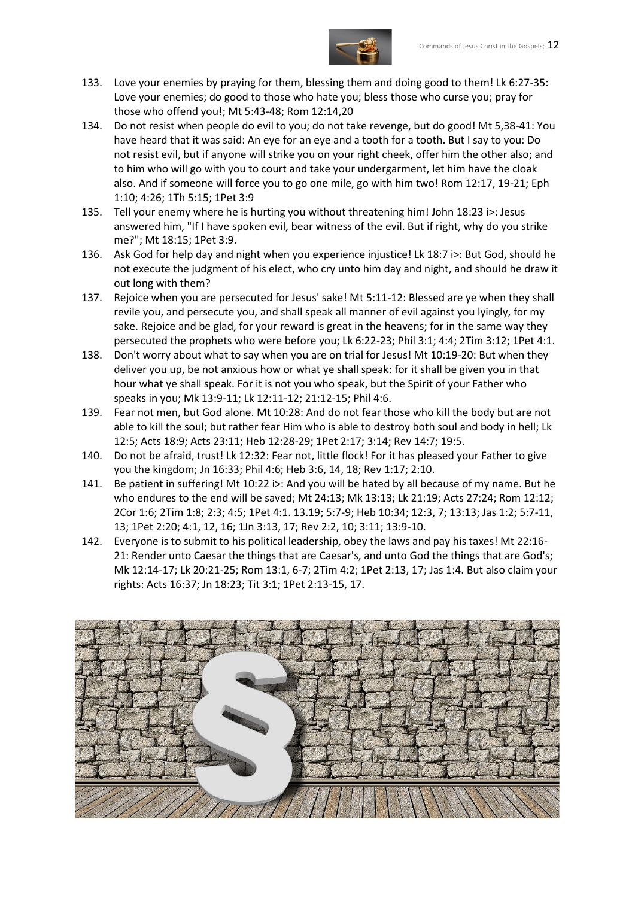

- 133. Love your enemies by praying for them, blessing them and doing good to them! Lk 6:27-35: Love your enemies; do good to those who hate you; bless those who curse you; pray for those who offend you!; Mt 5:43-48; Rom 12:14,20
- 134. Do not resist when people do evil to you; do not take revenge, but do good! Mt 5,38-41: You have heard that it was said: An eye for an eye and a tooth for a tooth. But I say to you: Do not resist evil, but if anyone will strike you on your right cheek, offer him the other also; and to him who will go with you to court and take your undergarment, let him have the cloak also. And if someone will force you to go one mile, go with him two! Rom 12:17, 19-21; Eph 1:10; 4:26; 1Th 5:15; 1Pet 3:9
- 135. Tell your enemy where he is hurting you without threatening him! John 18:23 i>: Jesus answered him, "If I have spoken evil, bear witness of the evil. But if right, why do you strike me?"; Mt 18:15; 1Pet 3:9.
- 136. Ask God for help day and night when you experience injustice! Lk 18:7 i>: But God, should he not execute the judgment of his elect, who cry unto him day and night, and should he draw it out long with them?
- 137. Rejoice when you are persecuted for Jesus' sake! Mt 5:11-12: Blessed are ye when they shall revile you, and persecute you, and shall speak all manner of evil against you lyingly, for my sake. Rejoice and be glad, for your reward is great in the heavens; for in the same way they persecuted the prophets who were before you; Lk 6:22-23; Phil 3:1; 4:4; 2Tim 3:12; 1Pet 4:1.
- 138. Don't worry about what to say when you are on trial for Jesus! Mt 10:19-20: But when they deliver you up, be not anxious how or what ye shall speak: for it shall be given you in that hour what ye shall speak. For it is not you who speak, but the Spirit of your Father who speaks in you; Mk 13:9-11; Lk 12:11-12; 21:12-15; Phil 4:6.
- 139. Fear not men, but God alone. Mt 10:28: And do not fear those who kill the body but are not able to kill the soul; but rather fear Him who is able to destroy both soul and body in hell; Lk 12:5; Acts 18:9; Acts 23:11; Heb 12:28-29; 1Pet 2:17; 3:14; Rev 14:7; 19:5.
- 140. Do not be afraid, trust! Lk 12:32: Fear not, little flock! For it has pleased your Father to give you the kingdom; Jn 16:33; Phil 4:6; Heb 3:6, 14, 18; Rev 1:17; 2:10.
- 141. Be patient in suffering! Mt 10:22 i>: And you will be hated by all because of my name. But he who endures to the end will be saved; Mt 24:13; Mk 13:13; Lk 21:19; Acts 27:24; Rom 12:12; 2Cor 1:6; 2Tim 1:8; 2:3; 4:5; 1Pet 4:1. 13.19; 5:7-9; Heb 10:34; 12:3, 7; 13:13; Jas 1:2; 5:7-11, 13; 1Pet 2:20; 4:1, 12, 16; 1Jn 3:13, 17; Rev 2:2, 10; 3:11; 13:9-10.
- 142. Everyone is to submit to his political leadership, obey the laws and pay his taxes! Mt 22:16- 21: Render unto Caesar the things that are Caesar's, and unto God the things that are God's; Mk 12:14-17; Lk 20:21-25; Rom 13:1, 6-7; 2Tim 4:2; 1Pet 2:13, 17; Jas 1:4. But also claim your rights: Acts 16:37; Jn 18:23; Tit 3:1; 1Pet 2:13-15, 17.

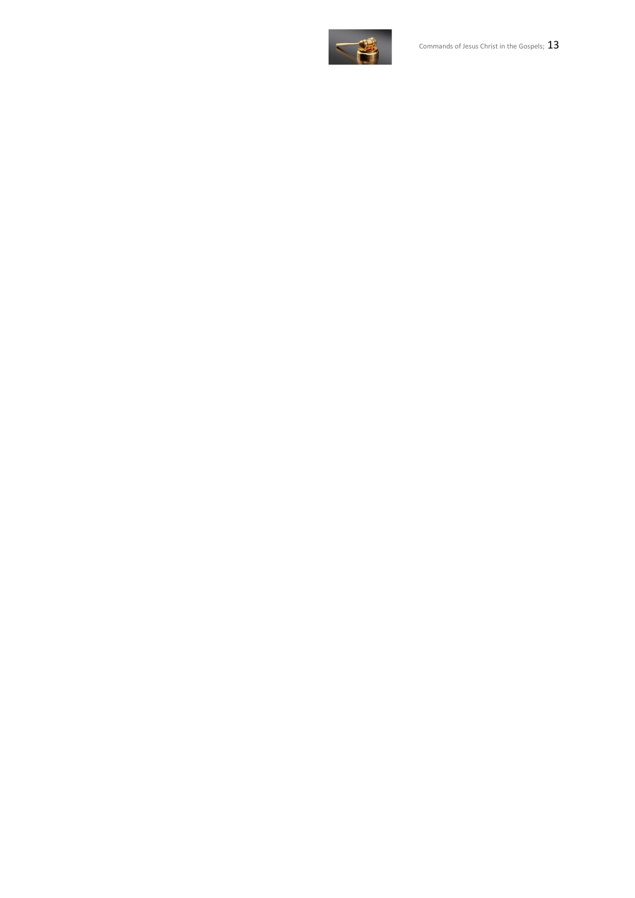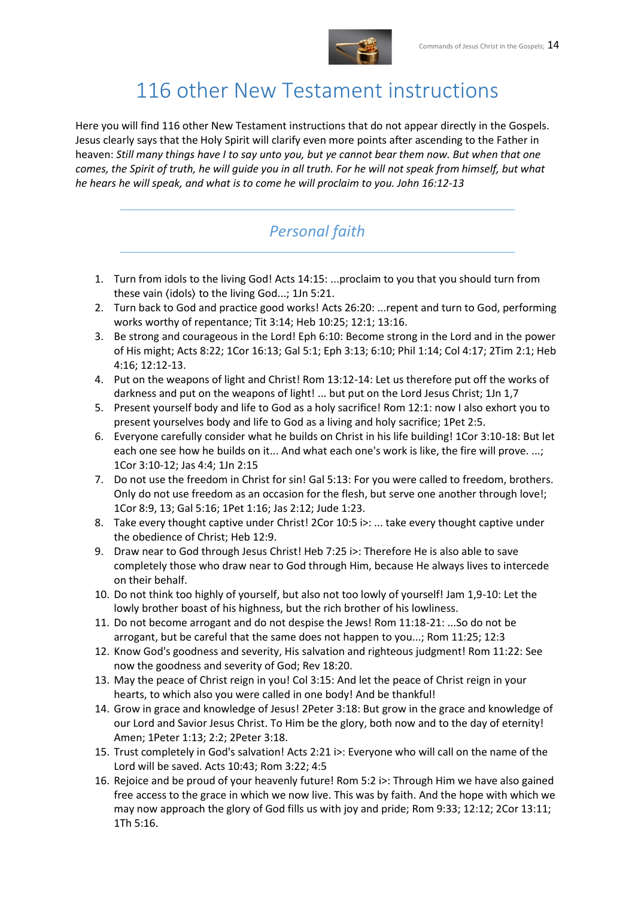

# 116 other New Testament instructions

Here you will find 116 other New Testament instructions that do not appear directly in the Gospels. Jesus clearly says that the Holy Spirit will clarify even more points after ascending to the Father in heaven: *Still many things have I to say unto you, but ye cannot bear them now. But when that one comes, the Spirit of truth, he will guide you in all truth. For he will not speak from himself, but what he hears he will speak, and what is to come he will proclaim to you. John 16:12-13*

# *Personal faith*

- 1. Turn from idols to the living God! Acts 14:15: ...proclaim to you that you should turn from these vain ⟨idols⟩ to the living God...; 1Jn 5:21.
- 2. Turn back to God and practice good works! Acts 26:20: ...repent and turn to God, performing works worthy of repentance; Tit 3:14; Heb 10:25; 12:1; 13:16.
- 3. Be strong and courageous in the Lord! Eph 6:10: Become strong in the Lord and in the power of His might; Acts 8:22; 1Cor 16:13; Gal 5:1; Eph 3:13; 6:10; Phil 1:14; Col 4:17; 2Tim 2:1; Heb 4:16; 12:12-13.
- 4. Put on the weapons of light and Christ! Rom 13:12-14: Let us therefore put off the works of darkness and put on the weapons of light! ... but put on the Lord Jesus Christ; 1Jn 1,7
- 5. Present yourself body and life to God as a holy sacrifice! Rom 12:1: now I also exhort you to present yourselves body and life to God as a living and holy sacrifice; 1Pet 2:5.
- 6. Everyone carefully consider what he builds on Christ in his life building! 1Cor 3:10-18: But let each one see how he builds on it... And what each one's work is like, the fire will prove. ...; 1Cor 3:10-12; Jas 4:4; 1Jn 2:15
- 7. Do not use the freedom in Christ for sin! Gal 5:13: For you were called to freedom, brothers. Only do not use freedom as an occasion for the flesh, but serve one another through love!; 1Cor 8:9, 13; Gal 5:16; 1Pet 1:16; Jas 2:12; Jude 1:23.
- 8. Take every thought captive under Christ! 2Cor 10:5 i>: ... take every thought captive under the obedience of Christ; Heb 12:9.
- 9. Draw near to God through Jesus Christ! Heb 7:25 i>: Therefore He is also able to save completely those who draw near to God through Him, because He always lives to intercede on their behalf.
- 10. Do not think too highly of yourself, but also not too lowly of yourself! Jam 1,9-10: Let the lowly brother boast of his highness, but the rich brother of his lowliness.
- 11. Do not become arrogant and do not despise the Jews! Rom 11:18-21: ...So do not be arrogant, but be careful that the same does not happen to you...; Rom 11:25; 12:3
- 12. Know God's goodness and severity, His salvation and righteous judgment! Rom 11:22: See now the goodness and severity of God; Rev 18:20.
- 13. May the peace of Christ reign in you! Col 3:15: And let the peace of Christ reign in your hearts, to which also you were called in one body! And be thankful!
- 14. Grow in grace and knowledge of Jesus! 2Peter 3:18: But grow in the grace and knowledge of our Lord and Savior Jesus Christ. To Him be the glory, both now and to the day of eternity! Amen; 1Peter 1:13; 2:2; 2Peter 3:18.
- 15. Trust completely in God's salvation! Acts 2:21 i>: Everyone who will call on the name of the Lord will be saved. Acts 10:43; Rom 3:22; 4:5
- 16. Rejoice and be proud of your heavenly future! Rom 5:2 i>: Through Him we have also gained free access to the grace in which we now live. This was by faith. And the hope with which we may now approach the glory of God fills us with joy and pride; Rom 9:33; 12:12; 2Cor 13:11; 1Th 5:16.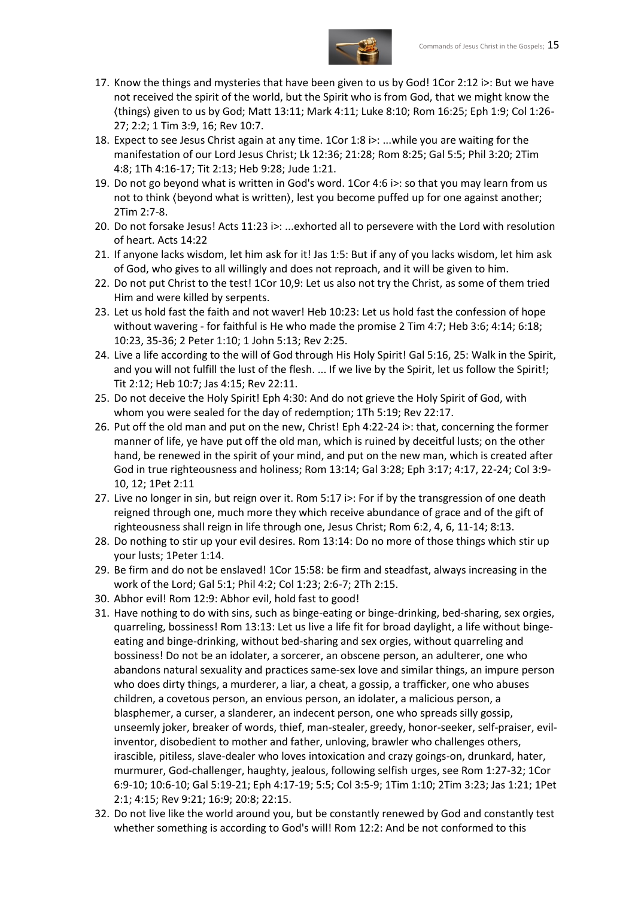

- 17. Know the things and mysteries that have been given to us by God! 1Cor 2:12 i>: But we have not received the spirit of the world, but the Spirit who is from God, that we might know the ⟨things⟩ given to us by God; Matt 13:11; Mark 4:11; Luke 8:10; Rom 16:25; Eph 1:9; Col 1:26- 27; 2:2; 1 Tim 3:9, 16; Rev 10:7.
- 18. Expect to see Jesus Christ again at any time. 1Cor 1:8 i>: ...while you are waiting for the manifestation of our Lord Jesus Christ; Lk 12:36; 21:28; Rom 8:25; Gal 5:5; Phil 3:20; 2Tim 4:8; 1Th 4:16-17; Tit 2:13; Heb 9:28; Jude 1:21.
- 19. Do not go beyond what is written in God's word. 1Cor 4:6 i>: so that you may learn from us not to think ⟨beyond what is written⟩, lest you become puffed up for one against another; 2Tim 2:7-8.
- 20. Do not forsake Jesus! Acts 11:23 i>: ...exhorted all to persevere with the Lord with resolution of heart. Acts 14:22
- 21. If anyone lacks wisdom, let him ask for it! Jas 1:5: But if any of you lacks wisdom, let him ask of God, who gives to all willingly and does not reproach, and it will be given to him.
- 22. Do not put Christ to the test! 1Cor 10,9: Let us also not try the Christ, as some of them tried Him and were killed by serpents.
- 23. Let us hold fast the faith and not waver! Heb 10:23: Let us hold fast the confession of hope without wavering - for faithful is He who made the promise 2 Tim 4:7; Heb 3:6; 4:14; 6:18; 10:23, 35-36; 2 Peter 1:10; 1 John 5:13; Rev 2:25.
- 24. Live a life according to the will of God through His Holy Spirit! Gal 5:16, 25: Walk in the Spirit, and you will not fulfill the lust of the flesh. ... If we live by the Spirit, let us follow the Spirit!; Tit 2:12; Heb 10:7; Jas 4:15; Rev 22:11.
- 25. Do not deceive the Holy Spirit! Eph 4:30: And do not grieve the Holy Spirit of God, with whom you were sealed for the day of redemption; 1Th 5:19; Rev 22:17.
- 26. Put off the old man and put on the new, Christ! Eph 4:22-24 i>: that, concerning the former manner of life, ye have put off the old man, which is ruined by deceitful lusts; on the other hand, be renewed in the spirit of your mind, and put on the new man, which is created after God in true righteousness and holiness; Rom 13:14; Gal 3:28; Eph 3:17; 4:17, 22-24; Col 3:9- 10, 12; 1Pet 2:11
- 27. Live no longer in sin, but reign over it. Rom 5:17 i>: For if by the transgression of one death reigned through one, much more they which receive abundance of grace and of the gift of righteousness shall reign in life through one, Jesus Christ; Rom 6:2, 4, 6, 11-14; 8:13.
- 28. Do nothing to stir up your evil desires. Rom 13:14: Do no more of those things which stir up your lusts; 1Peter 1:14.
- 29. Be firm and do not be enslaved! 1Cor 15:58: be firm and steadfast, always increasing in the work of the Lord; Gal 5:1; Phil 4:2; Col 1:23; 2:6-7; 2Th 2:15.
- 30. Abhor evil! Rom 12:9: Abhor evil, hold fast to good!
- 31. Have nothing to do with sins, such as binge-eating or binge-drinking, bed-sharing, sex orgies, quarreling, bossiness! Rom 13:13: Let us live a life fit for broad daylight, a life without bingeeating and binge-drinking, without bed-sharing and sex orgies, without quarreling and bossiness! Do not be an idolater, a sorcerer, an obscene person, an adulterer, one who abandons natural sexuality and practices same-sex love and similar things, an impure person who does dirty things, a murderer, a liar, a cheat, a gossip, a trafficker, one who abuses children, a covetous person, an envious person, an idolater, a malicious person, a blasphemer, a curser, a slanderer, an indecent person, one who spreads silly gossip, unseemly joker, breaker of words, thief, man-stealer, greedy, honor-seeker, self-praiser, evilinventor, disobedient to mother and father, unloving, brawler who challenges others, irascible, pitiless, slave-dealer who loves intoxication and crazy goings-on, drunkard, hater, murmurer, God-challenger, haughty, jealous, following selfish urges, see Rom 1:27-32; 1Cor 6:9-10; 10:6-10; Gal 5:19-21; Eph 4:17-19; 5:5; Col 3:5-9; 1Tim 1:10; 2Tim 3:23; Jas 1:21; 1Pet 2:1; 4:15; Rev 9:21; 16:9; 20:8; 22:15.
- 32. Do not live like the world around you, but be constantly renewed by God and constantly test whether something is according to God's will! Rom 12:2: And be not conformed to this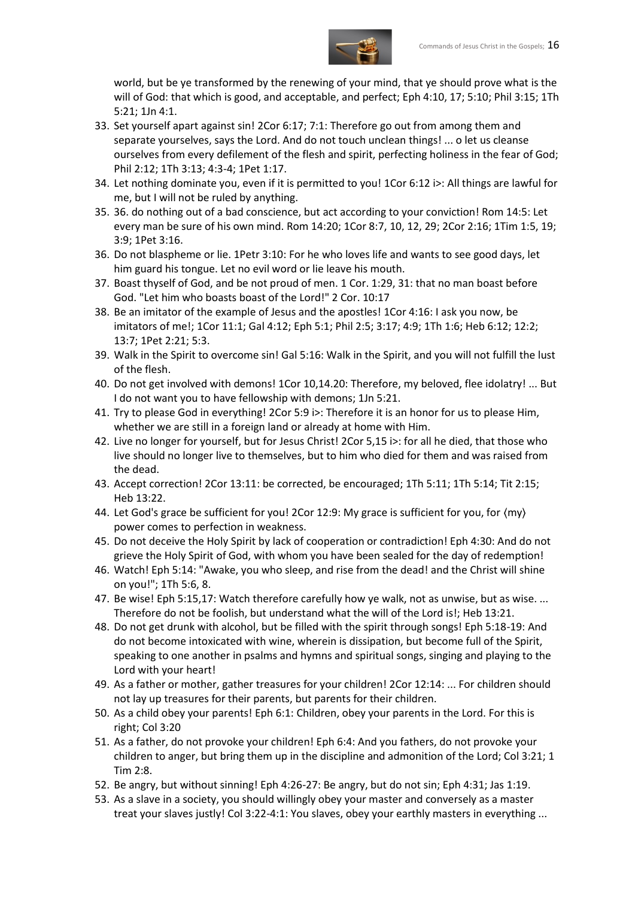

world, but be ye transformed by the renewing of your mind, that ye should prove what is the will of God: that which is good, and acceptable, and perfect; Eph 4:10, 17; 5:10; Phil 3:15; 1Th 5:21; 1Jn 4:1.

- 33. Set yourself apart against sin! 2Cor 6:17; 7:1: Therefore go out from among them and separate yourselves, says the Lord. And do not touch unclean things! ... o let us cleanse ourselves from every defilement of the flesh and spirit, perfecting holiness in the fear of God; Phil 2:12; 1Th 3:13; 4:3-4; 1Pet 1:17.
- 34. Let nothing dominate you, even if it is permitted to you! 1Cor 6:12 i>: All things are lawful for me, but I will not be ruled by anything.
- 35. 36. do nothing out of a bad conscience, but act according to your conviction! Rom 14:5: Let every man be sure of his own mind. Rom 14:20; 1Cor 8:7, 10, 12, 29; 2Cor 2:16; 1Tim 1:5, 19; 3:9; 1Pet 3:16.
- 36. Do not blaspheme or lie. 1Petr 3:10: For he who loves life and wants to see good days, let him guard his tongue. Let no evil word or lie leave his mouth.
- 37. Boast thyself of God, and be not proud of men. 1 Cor. 1:29, 31: that no man boast before God. "Let him who boasts boast of the Lord!" 2 Cor. 10:17
- 38. Be an imitator of the example of Jesus and the apostles! 1Cor 4:16: I ask you now, be imitators of me!; 1Cor 11:1; Gal 4:12; Eph 5:1; Phil 2:5; 3:17; 4:9; 1Th 1:6; Heb 6:12; 12:2; 13:7; 1Pet 2:21; 5:3.
- 39. Walk in the Spirit to overcome sin! Gal 5:16: Walk in the Spirit, and you will not fulfill the lust of the flesh.
- 40. Do not get involved with demons! 1Cor 10,14.20: Therefore, my beloved, flee idolatry! ... But I do not want you to have fellowship with demons; 1Jn 5:21.
- 41. Try to please God in everything! 2Cor 5:9 i>: Therefore it is an honor for us to please Him, whether we are still in a foreign land or already at home with Him.
- 42. Live no longer for yourself, but for Jesus Christ! 2Cor 5,15 i>: for all he died, that those who live should no longer live to themselves, but to him who died for them and was raised from the dead.
- 43. Accept correction! 2Cor 13:11: be corrected, be encouraged; 1Th 5:11; 1Th 5:14; Tit 2:15; Heb 13:22.
- 44. Let God's grace be sufficient for you! 2Cor 12:9: My grace is sufficient for you, for ⟨my⟩ power comes to perfection in weakness.
- 45. Do not deceive the Holy Spirit by lack of cooperation or contradiction! Eph 4:30: And do not grieve the Holy Spirit of God, with whom you have been sealed for the day of redemption!
- 46. Watch! Eph 5:14: "Awake, you who sleep, and rise from the dead! and the Christ will shine on you!"; 1Th 5:6, 8.
- 47. Be wise! Eph 5:15,17: Watch therefore carefully how ye walk, not as unwise, but as wise. ... Therefore do not be foolish, but understand what the will of the Lord is!; Heb 13:21.
- 48. Do not get drunk with alcohol, but be filled with the spirit through songs! Eph 5:18-19: And do not become intoxicated with wine, wherein is dissipation, but become full of the Spirit, speaking to one another in psalms and hymns and spiritual songs, singing and playing to the Lord with your heart!
- 49. As a father or mother, gather treasures for your children! 2Cor 12:14: ... For children should not lay up treasures for their parents, but parents for their children.
- 50. As a child obey your parents! Eph 6:1: Children, obey your parents in the Lord. For this is right; Col 3:20
- 51. As a father, do not provoke your children! Eph 6:4: And you fathers, do not provoke your children to anger, but bring them up in the discipline and admonition of the Lord; Col 3:21; 1 Tim 2:8.
- 52. Be angry, but without sinning! Eph 4:26-27: Be angry, but do not sin; Eph 4:31; Jas 1:19.
- 53. As a slave in a society, you should willingly obey your master and conversely as a master treat your slaves justly! Col 3:22-4:1: You slaves, obey your earthly masters in everything ...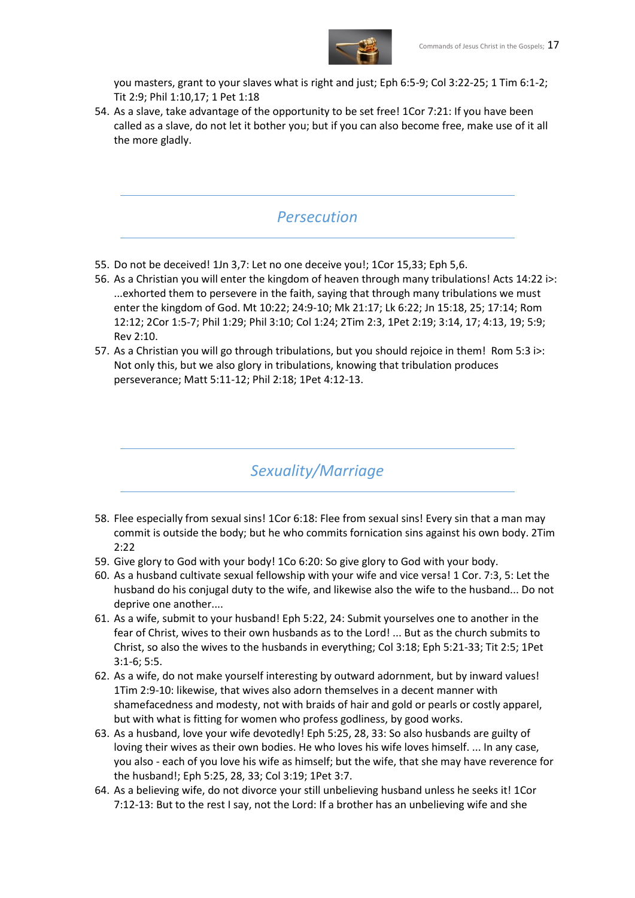

you masters, grant to your slaves what is right and just; Eph 6:5-9; Col 3:22-25; 1 Tim 6:1-2; Tit 2:9; Phil 1:10,17; 1 Pet 1:18

54. As a slave, take advantage of the opportunity to be set free! 1Cor 7:21: If you have been called as a slave, do not let it bother you; but if you can also become free, make use of it all the more gladly.

#### *Persecution*

- 55. Do not be deceived! 1Jn 3,7: Let no one deceive you!; 1Cor 15,33; Eph 5,6.
- 56. As a Christian you will enter the kingdom of heaven through many tribulations! Acts 14:22 i>: ...exhorted them to persevere in the faith, saying that through many tribulations we must enter the kingdom of God. Mt 10:22; 24:9-10; Mk 21:17; Lk 6:22; Jn 15:18, 25; 17:14; Rom 12:12; 2Cor 1:5-7; Phil 1:29; Phil 3:10; Col 1:24; 2Tim 2:3, 1Pet 2:19; 3:14, 17; 4:13, 19; 5:9; Rev 2:10.
- 57. As a Christian you will go through tribulations, but you should rejoice in them! Rom 5:3 i>: Not only this, but we also glory in tribulations, knowing that tribulation produces perseverance; Matt 5:11-12; Phil 2:18; 1Pet 4:12-13.

# *Sexuality/Marriage*

- 58. Flee especially from sexual sins! 1Cor 6:18: Flee from sexual sins! Every sin that a man may commit is outside the body; but he who commits fornication sins against his own body. 2Tim 2:22
- 59. Give glory to God with your body! 1Co 6:20: So give glory to God with your body.
- 60. As a husband cultivate sexual fellowship with your wife and vice versa! 1 Cor. 7:3, 5: Let the husband do his conjugal duty to the wife, and likewise also the wife to the husband... Do not deprive one another....
- 61. As a wife, submit to your husband! Eph 5:22, 24: Submit yourselves one to another in the fear of Christ, wives to their own husbands as to the Lord! ... But as the church submits to Christ, so also the wives to the husbands in everything; Col 3:18; Eph 5:21-33; Tit 2:5; 1Pet 3:1-6; 5:5.
- 62. As a wife, do not make yourself interesting by outward adornment, but by inward values! 1Tim 2:9-10: likewise, that wives also adorn themselves in a decent manner with shamefacedness and modesty, not with braids of hair and gold or pearls or costly apparel, but with what is fitting for women who profess godliness, by good works.
- 63. As a husband, love your wife devotedly! Eph 5:25, 28, 33: So also husbands are guilty of loving their wives as their own bodies. He who loves his wife loves himself. ... In any case, you also - each of you love his wife as himself; but the wife, that she may have reverence for the husband!; Eph 5:25, 28, 33; Col 3:19; 1Pet 3:7.
- 64. As a believing wife, do not divorce your still unbelieving husband unless he seeks it! 1Cor 7:12-13: But to the rest I say, not the Lord: If a brother has an unbelieving wife and she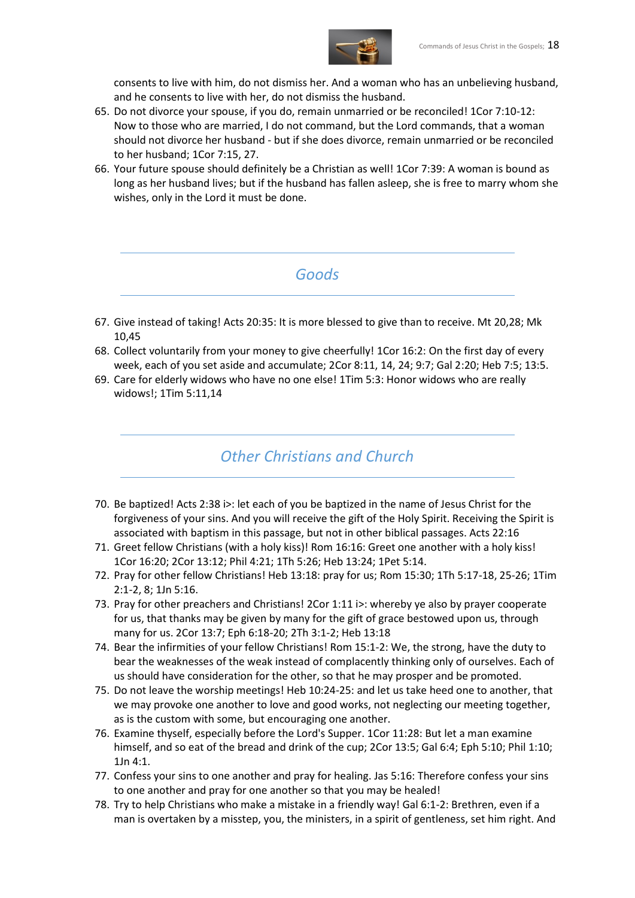

consents to live with him, do not dismiss her. And a woman who has an unbelieving husband, and he consents to live with her, do not dismiss the husband.

- 65. Do not divorce your spouse, if you do, remain unmarried or be reconciled! 1Cor 7:10-12: Now to those who are married, I do not command, but the Lord commands, that a woman should not divorce her husband - but if she does divorce, remain unmarried or be reconciled to her husband; 1Cor 7:15, 27.
- 66. Your future spouse should definitely be a Christian as well! 1Cor 7:39: A woman is bound as long as her husband lives; but if the husband has fallen asleep, she is free to marry whom she wishes, only in the Lord it must be done.

#### *Goods*

- 67. Give instead of taking! Acts 20:35: It is more blessed to give than to receive. Mt 20,28; Mk 10,45
- 68. Collect voluntarily from your money to give cheerfully! 1Cor 16:2: On the first day of every week, each of you set aside and accumulate; 2Cor 8:11, 14, 24; 9:7; Gal 2:20; Heb 7:5; 13:5.
- 69. Care for elderly widows who have no one else! 1Tim 5:3: Honor widows who are really widows!; 1Tim 5:11,14

*Other Christians and Church*

- 70. Be baptized! Acts 2:38 i>: let each of you be baptized in the name of Jesus Christ for the forgiveness of your sins. And you will receive the gift of the Holy Spirit. Receiving the Spirit is associated with baptism in this passage, but not in other biblical passages. Acts 22:16
- 71. Greet fellow Christians (with a holy kiss)! Rom 16:16: Greet one another with a holy kiss! 1Cor 16:20; 2Cor 13:12; Phil 4:21; 1Th 5:26; Heb 13:24; 1Pet 5:14.
- 72. Pray for other fellow Christians! Heb 13:18: pray for us; Rom 15:30; 1Th 5:17-18, 25-26; 1Tim 2:1-2, 8; 1Jn 5:16.
- 73. Pray for other preachers and Christians! 2Cor 1:11 i>: whereby ye also by prayer cooperate for us, that thanks may be given by many for the gift of grace bestowed upon us, through many for us. 2Cor 13:7; Eph 6:18-20; 2Th 3:1-2; Heb 13:18
- 74. Bear the infirmities of your fellow Christians! Rom 15:1-2: We, the strong, have the duty to bear the weaknesses of the weak instead of complacently thinking only of ourselves. Each of us should have consideration for the other, so that he may prosper and be promoted.
- 75. Do not leave the worship meetings! Heb 10:24-25: and let us take heed one to another, that we may provoke one another to love and good works, not neglecting our meeting together, as is the custom with some, but encouraging one another.
- 76. Examine thyself, especially before the Lord's Supper. 1Cor 11:28: But let a man examine himself, and so eat of the bread and drink of the cup; 2Cor 13:5; Gal 6:4; Eph 5:10; Phil 1:10; 1Jn 4:1.
- 77. Confess your sins to one another and pray for healing. Jas 5:16: Therefore confess your sins to one another and pray for one another so that you may be healed!
- 78. Try to help Christians who make a mistake in a friendly way! Gal 6:1-2: Brethren, even if a man is overtaken by a misstep, you, the ministers, in a spirit of gentleness, set him right. And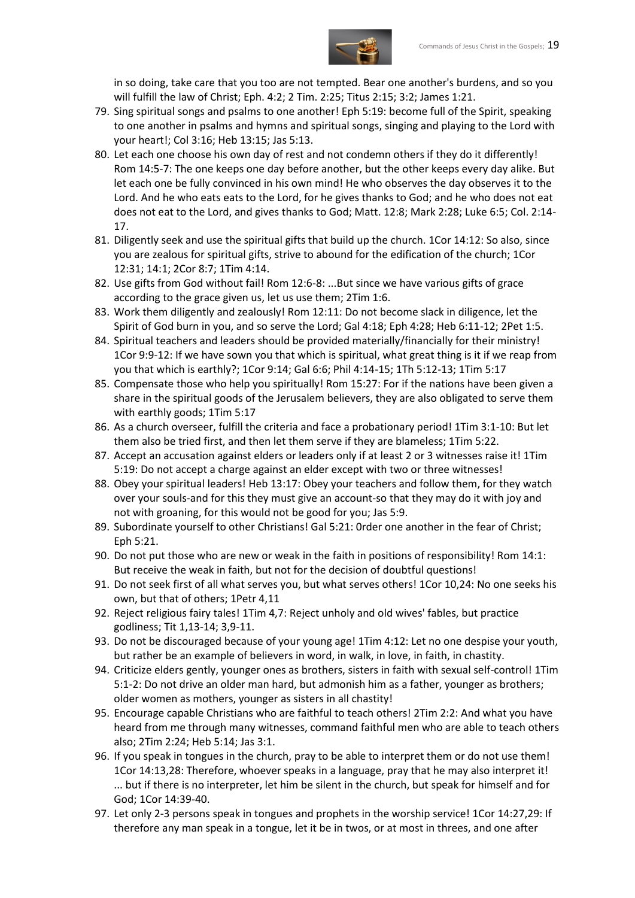

in so doing, take care that you too are not tempted. Bear one another's burdens, and so you will fulfill the law of Christ; Eph. 4:2; 2 Tim. 2:25; Titus 2:15; 3:2; James 1:21.

- 79. Sing spiritual songs and psalms to one another! Eph 5:19: become full of the Spirit, speaking to one another in psalms and hymns and spiritual songs, singing and playing to the Lord with your heart!; Col 3:16; Heb 13:15; Jas 5:13.
- 80. Let each one choose his own day of rest and not condemn others if they do it differently! Rom 14:5-7: The one keeps one day before another, but the other keeps every day alike. But let each one be fully convinced in his own mind! He who observes the day observes it to the Lord. And he who eats eats to the Lord, for he gives thanks to God; and he who does not eat does not eat to the Lord, and gives thanks to God; Matt. 12:8; Mark 2:28; Luke 6:5; Col. 2:14- 17.
- 81. Diligently seek and use the spiritual gifts that build up the church. 1Cor 14:12: So also, since you are zealous for spiritual gifts, strive to abound for the edification of the church; 1Cor 12:31; 14:1; 2Cor 8:7; 1Tim 4:14.
- 82. Use gifts from God without fail! Rom 12:6-8: ...But since we have various gifts of grace according to the grace given us, let us use them; 2Tim 1:6.
- 83. Work them diligently and zealously! Rom 12:11: Do not become slack in diligence, let the Spirit of God burn in you, and so serve the Lord; Gal 4:18; Eph 4:28; Heb 6:11-12; 2Pet 1:5.
- 84. Spiritual teachers and leaders should be provided materially/financially for their ministry! 1Cor 9:9-12: If we have sown you that which is spiritual, what great thing is it if we reap from you that which is earthly?; 1Cor 9:14; Gal 6:6; Phil 4:14-15; 1Th 5:12-13; 1Tim 5:17
- 85. Compensate those who help you spiritually! Rom 15:27: For if the nations have been given a share in the spiritual goods of the Jerusalem believers, they are also obligated to serve them with earthly goods; 1Tim 5:17
- 86. As a church overseer, fulfill the criteria and face a probationary period! 1Tim 3:1-10: But let them also be tried first, and then let them serve if they are blameless; 1Tim 5:22.
- 87. Accept an accusation against elders or leaders only if at least 2 or 3 witnesses raise it! 1Tim 5:19: Do not accept a charge against an elder except with two or three witnesses!
- 88. Obey your spiritual leaders! Heb 13:17: Obey your teachers and follow them, for they watch over your souls-and for this they must give an account-so that they may do it with joy and not with groaning, for this would not be good for you; Jas 5:9.
- 89. Subordinate yourself to other Christians! Gal 5:21: 0rder one another in the fear of Christ; Eph 5:21.
- 90. Do not put those who are new or weak in the faith in positions of responsibility! Rom 14:1: But receive the weak in faith, but not for the decision of doubtful questions!
- 91. Do not seek first of all what serves you, but what serves others! 1Cor 10,24: No one seeks his own, but that of others; 1Petr 4,11
- 92. Reject religious fairy tales! 1Tim 4,7: Reject unholy and old wives' fables, but practice godliness; Tit 1,13-14; 3,9-11.
- 93. Do not be discouraged because of your young age! 1Tim 4:12: Let no one despise your youth, but rather be an example of believers in word, in walk, in love, in faith, in chastity.
- 94. Criticize elders gently, younger ones as brothers, sisters in faith with sexual self-control! 1Tim 5:1-2: Do not drive an older man hard, but admonish him as a father, younger as brothers; older women as mothers, younger as sisters in all chastity!
- 95. Encourage capable Christians who are faithful to teach others! 2Tim 2:2: And what you have heard from me through many witnesses, command faithful men who are able to teach others also; 2Tim 2:24; Heb 5:14; Jas 3:1.
- 96. If you speak in tongues in the church, pray to be able to interpret them or do not use them! 1Cor 14:13,28: Therefore, whoever speaks in a language, pray that he may also interpret it! ... but if there is no interpreter, let him be silent in the church, but speak for himself and for God; 1Cor 14:39-40.
- 97. Let only 2-3 persons speak in tongues and prophets in the worship service! 1Cor 14:27,29: If therefore any man speak in a tongue, let it be in twos, or at most in threes, and one after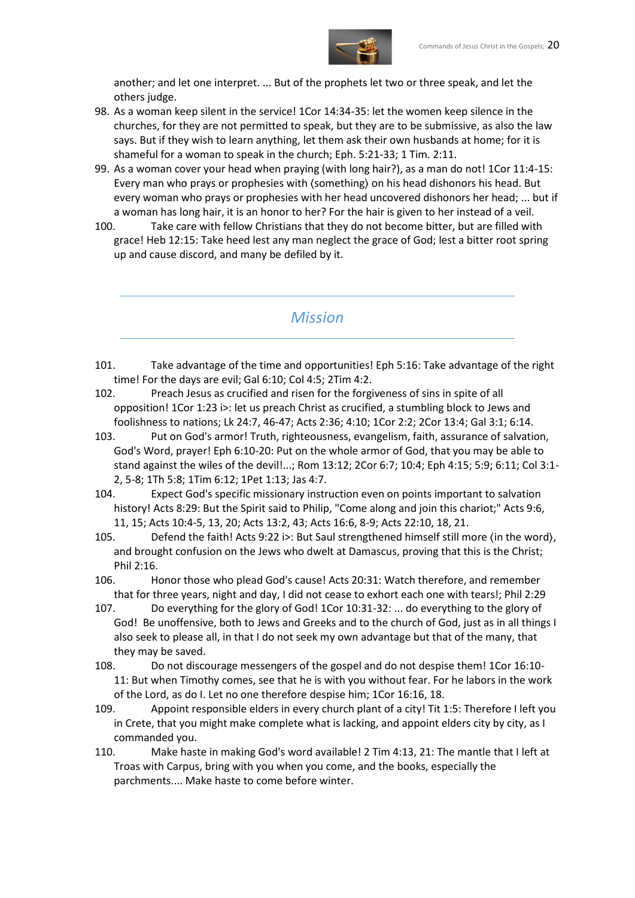

another; and let one interpret. ... But of the prophets let two or three speak, and let the others judge.

- 98. As a woman keep silent in the service! 1Cor 14:34-35: let the women keep silence in the churches, for they are not permitted to speak, but they are to be submissive, as also the law says. But if they wish to learn anything, let them ask their own husbands at home; for it is shameful for a woman to speak in the church; Eph. 5:21-33; 1 Tim. 2:11.
- 99. As a woman cover your head when praying (with long hair?), as a man do not! 1Cor 11:4-15: Every man who prays or prophesies with ⟨something⟩ on his head dishonors his head. But every woman who prays or prophesies with her head uncovered dishonors her head; ... but if a woman has long hair, it is an honor to her? For the hair is given to her instead of a veil.
- 100. Take care with fellow Christians that they do not become bitter, but are filled with grace! Heb 12:15: Take heed lest any man neglect the grace of God; lest a bitter root spring up and cause discord, and many be defiled by it.

### *Mission*

- 101. Take advantage of the time and opportunities! Eph 5:16: Take advantage of the right time! For the days are evil; Gal 6:10; Col 4:5; 2Tim 4:2.
- 102. Preach Jesus as crucified and risen for the forgiveness of sins in spite of all opposition! 1Cor 1:23 i>: let us preach Christ as crucified, a stumbling block to Jews and foolishness to nations; Lk 24:7, 46-47; Acts 2:36; 4:10; 1Cor 2:2; 2Cor 13:4; Gal 3:1; 6:14.
- 103. Put on God's armor! Truth, righteousness, evangelism, faith, assurance of salvation, God's Word, prayer! Eph 6:10-20: Put on the whole armor of God, that you may be able to stand against the wiles of the devil!...; Rom 13:12; 2Cor 6:7; 10:4; Eph 4:15; 5:9; 6:11; Col 3:1-2, 5-8; 1Th 5:8; 1Tim 6:12; 1Pet 1:13; Jas 4:7.
- 104. Expect God's specific missionary instruction even on points important to salvation history! Acts 8:29: But the Spirit said to Philip, "Come along and join this chariot;" Acts 9:6, 11, 15; Acts 10:4-5, 13, 20; Acts 13:2, 43; Acts 16:6, 8-9; Acts 22:10, 18, 21.
- 105. Defend the faith! Acts 9:22 i>: But Saul strengthened himself still more  $\langle$  in the word $\rangle$ , and brought confusion on the Jews who dwelt at Damascus, proving that this is the Christ; Phil 2:16.
- 106. Honor those who plead God's cause! Acts 20:31: Watch therefore, and remember that for three years, night and day, I did not cease to exhort each one with tears!; Phil 2:29
- 107. Do everything for the glory of God! 1Cor 10:31-32: ... do everything to the glory of God! Be unoffensive, both to Jews and Greeks and to the church of God, just as in all things I also seek to please all, in that I do not seek my own advantage but that of the many, that they may be saved.
- 108. Do not discourage messengers of the gospel and do not despise them! 1Cor 16:10- 11: But when Timothy comes, see that he is with you without fear. For he labors in the work of the Lord, as do I. Let no one therefore despise him; 1Cor 16:16, 18.
- 109. Appoint responsible elders in every church plant of a city! Tit 1:5: Therefore I left you in Crete, that you might make complete what is lacking, and appoint elders city by city, as I commanded you.
- 110. Make haste in making God's word available! 2 Tim 4:13, 21: The mantle that I left at Troas with Carpus, bring with you when you come, and the books, especially the parchments.... Make haste to come before winter.